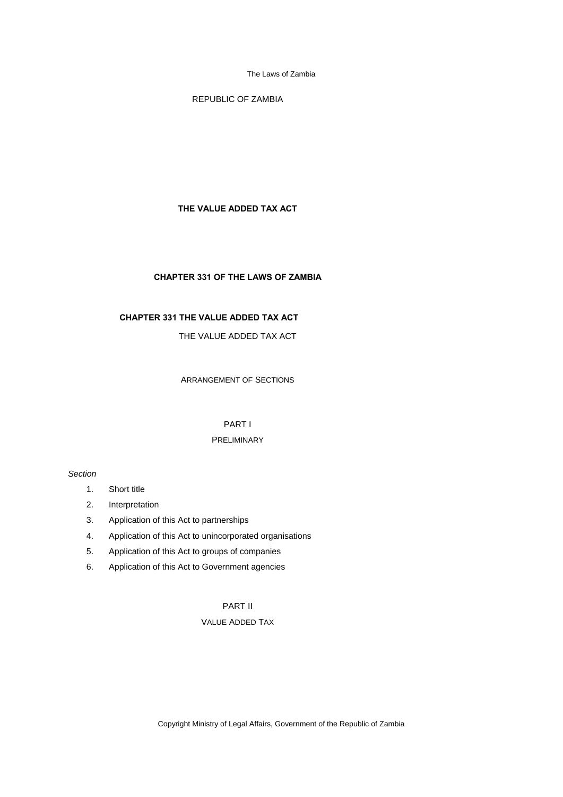REPUBLIC OF ZAMBIA

## **THE VALUE ADDED TAX ACT**

## **CHAPTER 331 OF THE LAWS OF ZAMBIA**

# **CHAPTER 331 THE VALUE ADDED TAX ACT**

# THE VALUE ADDED TAX ACT

ARRANGEMENT OF SECTIONS

# PART I

# PRELIMINARY

## *Section*

- 1. Short title
- 2. Interpretation
- 3. Application of this Act to partnerships
- 4. Application of this Act to unincorporated organisations
- 5. Application of this Act to groups of companies
- 6. Application of this Act to Government agencies

# PART II

# VALUE ADDED TAX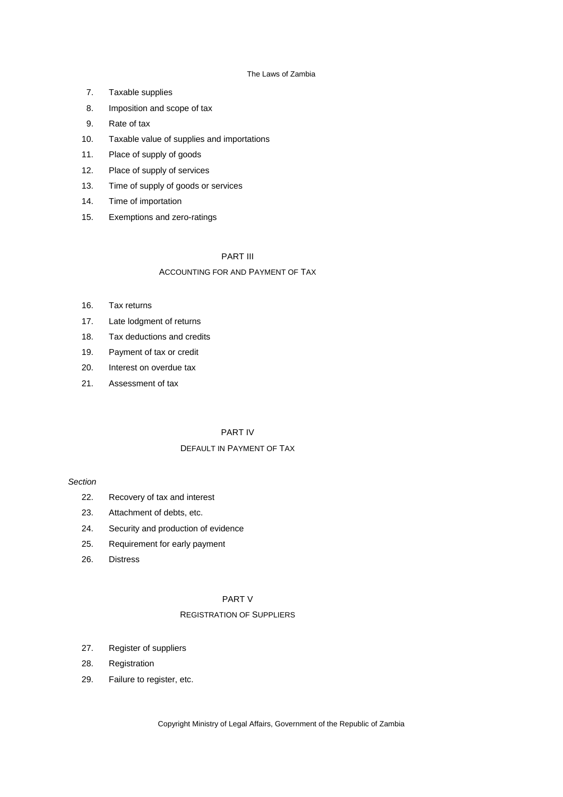- 7. Taxable supplies
- 8. Imposition and scope of tax
- 9. Rate of tax
- 10. Taxable value of supplies and importations
- 11. Place of supply of goods
- 12. Place of supply of services
- 13. Time of supply of goods or services
- 14. Time of importation
- 15. Exemptions and zero-ratings

## PART III

## ACCOUNTING FOR AND PAYMENT OF TAX

- 16. Tax returns
- 17. Late lodgment of returns
- 18. Tax deductions and credits
- 19. Payment of tax or credit
- 20. Interest on overdue tax
- 21. Assessment of tax

# PART IV

## DEFAULT IN PAYMENT OF TAX

## *Section*

- 22. Recovery of tax and interest
- 23. Attachment of debts, etc.
- 24. Security and production of evidence
- 25. Requirement for early payment
- 26. Distress

# PART V

## REGISTRATION OF SUPPLIERS

- 27. Register of suppliers
- 28. Registration
- 29. Failure to register, etc.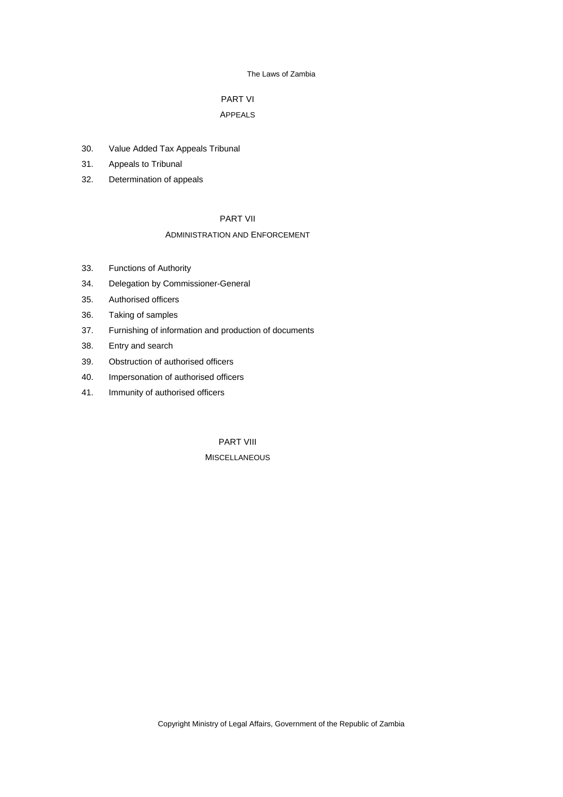# PART VI

# APPEALS

- 30. Value Added Tax Appeals Tribunal
- 31. Appeals to Tribunal
- 32. Determination of appeals

# PART VII

## ADMINISTRATION AND ENFORCEMENT

- 33. Functions of Authority
- 34. Delegation by Commissioner-General
- 35. Authorised officers
- 36. Taking of samples
- 37. Furnishing of information and production of documents
- 38. Entry and search
- 39. Obstruction of authorised officers
- 40. Impersonation of authorised officers
- 41. Immunity of authorised officers

PART VIII **MISCELLANEOUS**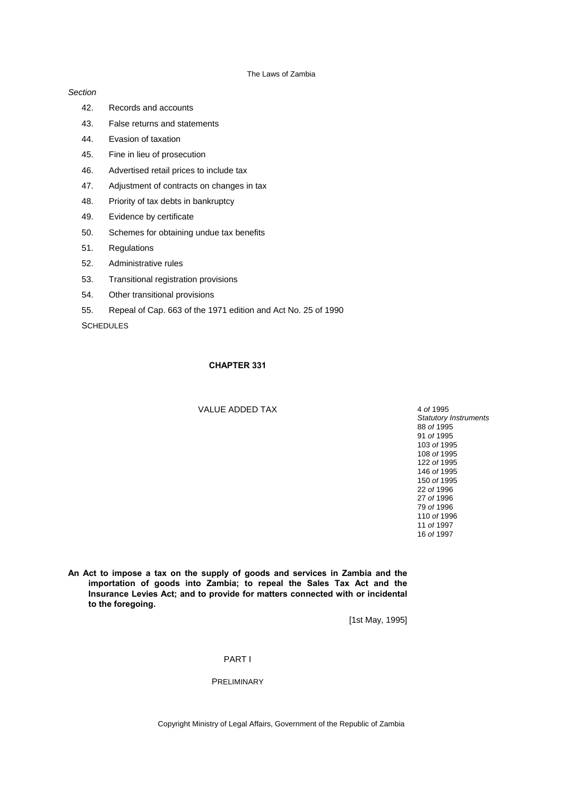### *Section*

- 42. Records and accounts
- 43. False returns and statements
- 44. Evasion of taxation
- 45. Fine in lieu of prosecution
- 46. Advertised retail prices to include tax
- 47. Adjustment of contracts on changes in tax
- 48. Priority of tax debts in bankruptcy
- 49. Evidence by certificate
- 50. Schemes for obtaining undue tax benefits
- 51. Regulations
- 52. Administrative rules
- 53. Transitional registration provisions
- 54. Other transitional provisions
- 55. Repeal of Cap. 663 of the 1971 edition and Act No. 25 of 1990

**SCHEDULES** 

## **CHAPTER 331**

## VALUE ADDED TAX 4 of 1995

**An Act to impose a tax on the supply of goods and services in Zambia and the importation of goods into Zambia; to repeal the Sales Tax Act and the Insurance Levies Act; and to provide for matters connected with or incidental to the foregoing.**

[1st May, 1995]

### PART I

## PRELIMINARY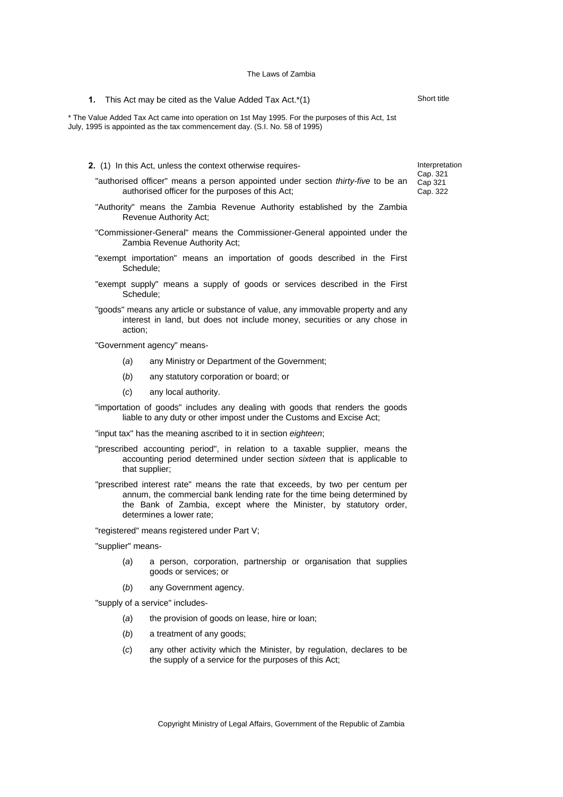**1.** This Act may be cited as the Value Added Tax Act.\*(1)

\* The Value Added Tax Act came into operation on 1st May 1995. For the purposes of this Act, 1st July, 1995 is appointed as the tax commencement day. (S.I. No. 58 of 1995)

- **2.** (1) In this Act, unless the context otherwise requires-
	- "authorised officer" means a person appointed under section *thirty-five* to be an authorised officer for the purposes of this Act;
	- "Authority" means the Zambia Revenue Authority established by the Zambia Revenue Authority Act;
	- "Commissioner-General" means the Commissioner-General appointed under the Zambia Revenue Authority Act;
	- "exempt importation" means an importation of goods described in the First Schedule;
	- "exempt supply" means a supply of goods or services described in the First Schedule;
	- "goods" means any article or substance of value, any immovable property and any interest in land, but does not include money, securities or any chose in action;
	- "Government agency" means-
		- (*a*) any Ministry or Department of the Government;
		- (*b*) any statutory corporation or board; or
		- (*c*) any local authority.
	- "importation of goods" includes any dealing with goods that renders the goods liable to any duty or other impost under the Customs and Excise Act;
	- "input tax" has the meaning ascribed to it in section *eighteen*;
	- "prescribed accounting period", in relation to a taxable supplier, means the accounting period determined under section *sixteen* that is applicable to that supplier;
	- "prescribed interest rate" means the rate that exceeds, by two per centum per annum, the commercial bank lending rate for the time being determined by the Bank of Zambia, except where the Minister, by statutory order, determines a lower rate;

"registered" means registered under Part V;

"supplier" means-

- (*a*) a person, corporation, partnership or organisation that supplies goods or services; or
- (*b*) any Government agency.

"supply of a service" includes-

- (*a*) the provision of goods on lease, hire or loan;
- (*b*) a treatment of any goods;
- (*c*) any other activity which the Minister, by regulation, declares to be the supply of a service for the purposes of this Act;

Copyright Ministry of Legal Affairs, Government of the Republic of Zambia

Interpretation Cap. 321 Cap 321 Cap. 322

Short title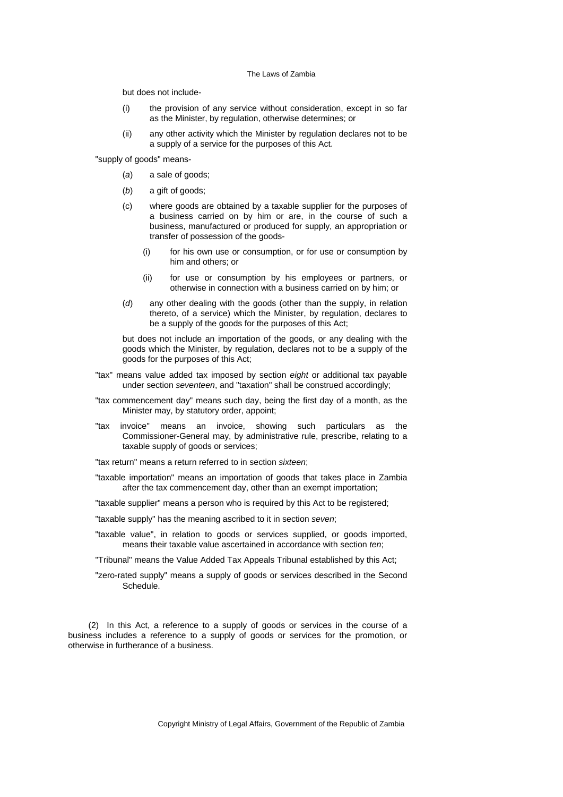but does not include-

- (i) the provision of any service without consideration, except in so far as the Minister, by regulation, otherwise determines; or
- (ii) any other activity which the Minister by regulation declares not to be a supply of a service for the purposes of this Act.

"supply of goods" means-

- (*a*) a sale of goods;
- (*b*) a gift of goods;
- (c) where goods are obtained by a taxable supplier for the purposes of a business carried on by him or are, in the course of such a business, manufactured or produced for supply, an appropriation or transfer of possession of the goods-
	- (i) for his own use or consumption, or for use or consumption by him and others; or
	- (ii) for use or consumption by his employees or partners, or otherwise in connection with a business carried on by him; or
- (*d*) any other dealing with the goods (other than the supply, in relation thereto, of a service) which the Minister, by regulation, declares to be a supply of the goods for the purposes of this Act;

 but does not include an importation of the goods, or any dealing with the goods which the Minister, by regulation, declares not to be a supply of the goods for the purposes of this Act;

- "tax" means value added tax imposed by section *eight* or additional tax payable under section *seventeen*, and "taxation" shall be construed accordingly;
- "tax commencement day" means such day, being the first day of a month, as the Minister may, by statutory order, appoint;
- "tax invoice" means an invoice, showing such particulars as the Commissioner-General may, by administrative rule, prescribe, relating to a taxable supply of goods or services;

"tax return" means a return referred to in section *sixteen*;

"taxable importation" means an importation of goods that takes place in Zambia after the tax commencement day, other than an exempt importation;

"taxable supplier" means a person who is required by this Act to be registered;

"taxable supply" has the meaning ascribed to it in section *seven*;

"taxable value", in relation to goods or services supplied, or goods imported, means their taxable value ascertained in accordance with section *ten*;

"Tribunal" means the Value Added Tax Appeals Tribunal established by this Act;

"zero-rated supply" means a supply of goods or services described in the Second Schedule.

(2) In this Act, a reference to a supply of goods or services in the course of a business includes a reference to a supply of goods or services for the promotion, or otherwise in furtherance of a business.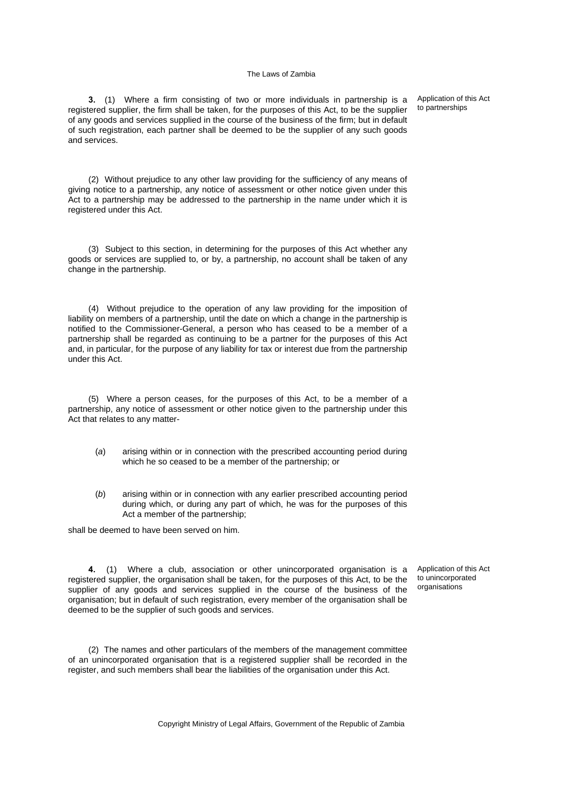**3.** (1) Where a firm consisting of two or more individuals in partnership is a registered supplier, the firm shall be taken, for the purposes of this Act, to be the supplier of any goods and services supplied in the course of the business of the firm; but in default of such registration, each partner shall be deemed to be the supplier of any such goods and services.

Application of this Act to partnerships

(2) Without prejudice to any other law providing for the sufficiency of any means of giving notice to a partnership, any notice of assessment or other notice given under this Act to a partnership may be addressed to the partnership in the name under which it is registered under this Act.

(3) Subject to this section, in determining for the purposes of this Act whether any goods or services are supplied to, or by, a partnership, no account shall be taken of any change in the partnership.

(4) Without prejudice to the operation of any law providing for the imposition of liability on members of a partnership, until the date on which a change in the partnership is notified to the Commissioner-General, a person who has ceased to be a member of a partnership shall be regarded as continuing to be a partner for the purposes of this Act and, in particular, for the purpose of any liability for tax or interest due from the partnership under this Act.

(5) Where a person ceases, for the purposes of this Act, to be a member of a partnership, any notice of assessment or other notice given to the partnership under this Act that relates to any matter-

- (*a*) arising within or in connection with the prescribed accounting period during which he so ceased to be a member of the partnership; or
- (*b*) arising within or in connection with any earlier prescribed accounting period during which, or during any part of which, he was for the purposes of this Act a member of the partnership;

shall be deemed to have been served on him.

**4.** (1) Where a club, association or other unincorporated organisation is a registered supplier, the organisation shall be taken, for the purposes of this Act, to be the supplier of any goods and services supplied in the course of the business of the organisation; but in default of such registration, every member of the organisation shall be deemed to be the supplier of such goods and services.

Application of this Act to unincorporated organisations

(2) The names and other particulars of the members of the management committee of an unincorporated organisation that is a registered supplier shall be recorded in the register, and such members shall bear the liabilities of the organisation under this Act.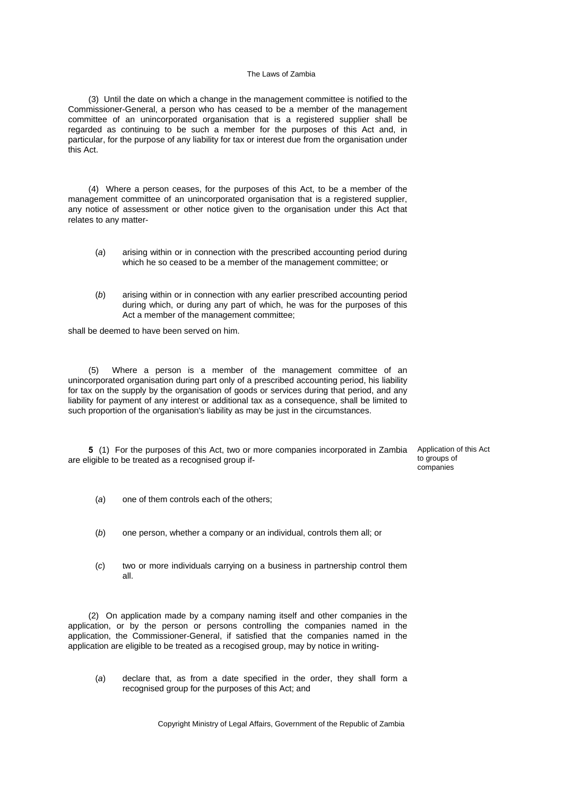(3) Until the date on which a change in the management committee is notified to the Commissioner-General, a person who has ceased to be a member of the management committee of an unincorporated organisation that is a registered supplier shall be regarded as continuing to be such a member for the purposes of this Act and, in particular, for the purpose of any liability for tax or interest due from the organisation under this Act.

(4) Where a person ceases, for the purposes of this Act, to be a member of the management committee of an unincorporated organisation that is a registered supplier, any notice of assessment or other notice given to the organisation under this Act that relates to any matter-

- (*a*) arising within or in connection with the prescribed accounting period during which he so ceased to be a member of the management committee; or
- (*b*) arising within or in connection with any earlier prescribed accounting period during which, or during any part of which, he was for the purposes of this Act a member of the management committee;

shall be deemed to have been served on him.

(5) Where a person is a member of the management committee of an unincorporated organisation during part only of a prescribed accounting period, his liability for tax on the supply by the organisation of goods or services during that period, and any liability for payment of any interest or additional tax as a consequence, shall be limited to such proportion of the organisation's liability as may be just in the circumstances.

**5** (1) For the purposes of this Act, two or more companies incorporated in Zambia are eligible to be treated as a recognised group if-

Application of this Act to groups of companies

- (*a*) one of them controls each of the others;
- (*b*) one person, whether a company or an individual, controls them all; or
- (*c*) two or more individuals carrying on a business in partnership control them all.

(2) On application made by a company naming itself and other companies in the application, or by the person or persons controlling the companies named in the application, the Commissioner-General, if satisfied that the companies named in the application are eligible to be treated as a recogised group, may by notice in writing-

(*a*) declare that, as from a date specified in the order, they shall form a recognised group for the purposes of this Act; and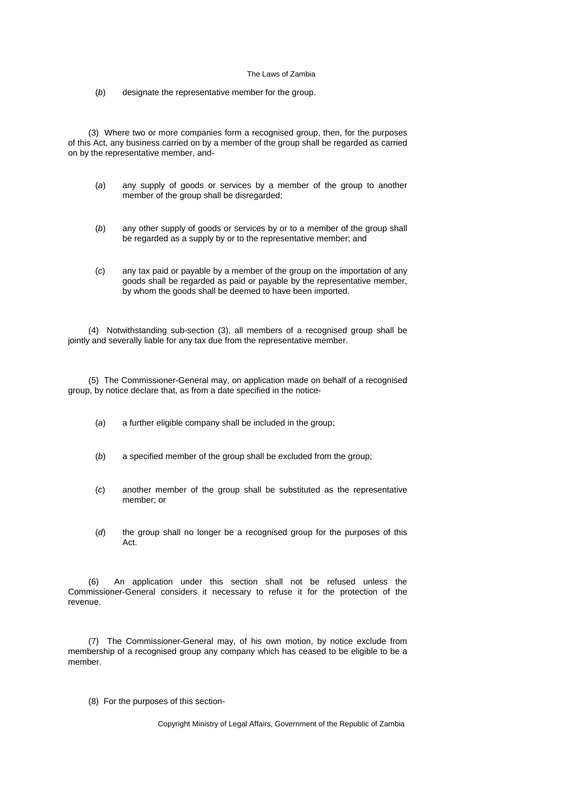(*b*) designate the representative member for the group.

(3) Where two or more companies form a recognised group, then, for the purposes of this Act, any business carried on by a member of the group shall be regarded as carried on by the representative member, and-

- (*a*) any supply of goods or services by a member of the group to another member of the group shall be disregarded;
- (*b*) any other supply of goods or services by or to a member of the group shall be regarded as a supply by or to the representative member; and
- (*c*) any tax paid or payable by a member of the group on the importation of any goods shall be regarded as paid or payable by the representative member, by whom the goods shall be deemed to have been imported.

(4) Notwithstanding sub-section (3), all members of a recognised group shall be jointly and severally liable for any tax due from the representative member.

(5) The Commissioner-General may, on application made on behalf of a recognised group, by notice declare that, as from a date specified in the notice-

- (*a*) a further eligible company shall be included in the group;
- (*b*) a specified member of the group shall be excluded from the group;
- (*c*) another member of the group shall be substituted as the representative member; or
- (*d*) the group shall no longer be a recognised group for the purposes of this Act.

(6) An application under this section shall not be refused unless the Commissioner-General considers it necessary to refuse it for the protection of the revenue.

(7) The Commissioner-General may, of his own motion, by notice exclude from membership of a recognised group any company which has ceased to be eligible to be a member.

(8) For the purposes of this section-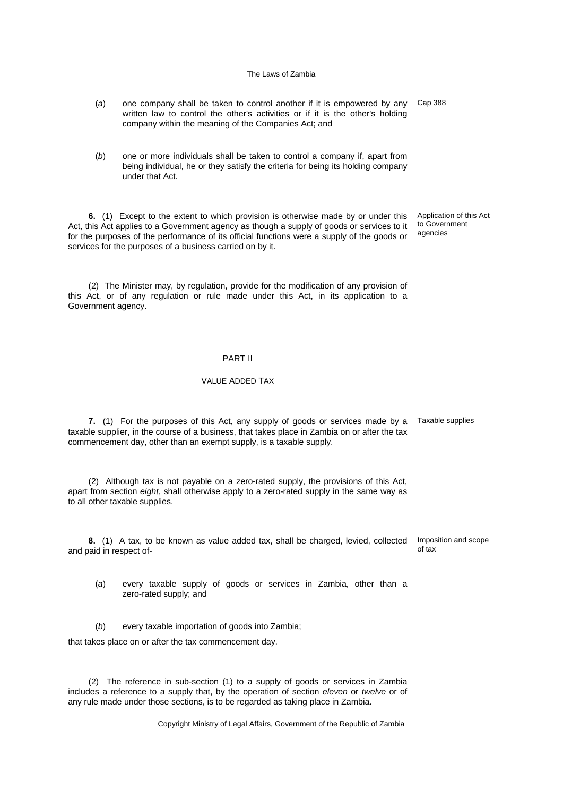- (*a*) one company shall be taken to control another if it is empowered by any Cap 388 written law to control the other's activities or if it is the other's holding company within the meaning of the Companies Act; and
- (*b*) one or more individuals shall be taken to control a company if, apart from being individual, he or they satisfy the criteria for being its holding company under that Act.

**6.** (1) Except to the extent to which provision is otherwise made by or under this Act, this Act applies to a Government agency as though a supply of goods or services to it for the purposes of the performance of its official functions were a supply of the goods or services for the purposes of a business carried on by it.

(2) The Minister may, by regulation, provide for the modification of any provision of this Act, or of any regulation or rule made under this Act, in its application to a Government agency.

## PART II

## VALUE ADDED TAX

**7.** (1) For the purposes of this Act, any supply of goods or services made by a Taxable supplies taxable supplier, in the course of a business, that takes place in Zambia on or after the tax commencement day, other than an exempt supply, is a taxable supply.

(2) Although tax is not payable on a zero-rated supply, the provisions of this Act, apart from section *eight*, shall otherwise apply to a zero-rated supply in the same way as to all other taxable supplies.

**8.** (1) A tax, to be known as value added tax, shall be charged, levied, collected and paid in respect of-Imposition and scope of tax

- (*a*) every taxable supply of goods or services in Zambia, other than a zero-rated supply; and
- (*b*) every taxable importation of goods into Zambia;

that takes place on or after the tax commencement day.

(2) The reference in sub-section (1) to a supply of goods or services in Zambia includes a reference to a supply that, by the operation of section *eleven* or *twelve* or of any rule made under those sections, is to be regarded as taking place in Zambia.

Copyright Ministry of Legal Affairs, Government of the Republic of Zambia

Application of this Act to Government agencies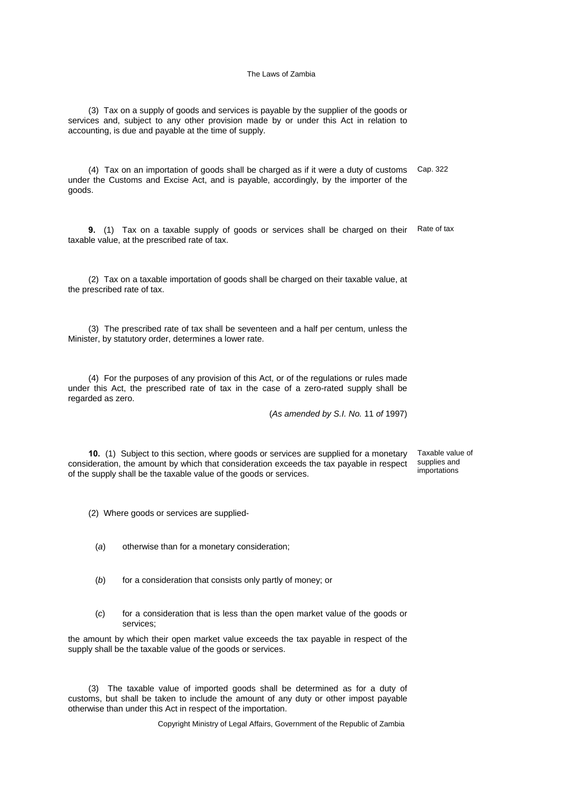(3) Tax on a supply of goods and services is payable by the supplier of the goods or services and, subject to any other provision made by or under this Act in relation to accounting, is due and payable at the time of supply.

(4) Tax on an importation of goods shall be charged as if it were a duty of customs under the Customs and Excise Act, and is payable, accordingly, by the importer of the goods. Cap. 322

**9.** (1) Tax on a taxable supply of goods or services shall be charged on their Rate of tax taxable value, at the prescribed rate of tax.

(2) Tax on a taxable importation of goods shall be charged on their taxable value, at the prescribed rate of tax.

(3) The prescribed rate of tax shall be seventeen and a half per centum, unless the Minister, by statutory order, determines a lower rate.

(4) For the purposes of any provision of this Act, or of the regulations or rules made under this Act, the prescribed rate of tax in the case of a zero-rated supply shall be regarded as zero.

(*As amended by S.I. No.* 11 *of* 1997)

**10.** (1) Subject to this section, where goods or services are supplied for a monetary consideration, the amount by which that consideration exceeds the tax payable in respect of the supply shall be the taxable value of the goods or services.

Taxable value of supplies and importations

(2) Where goods or services are supplied-

- (*a*) otherwise than for a monetary consideration;
- (*b*) for a consideration that consists only partly of money; or
- (*c*) for a consideration that is less than the open market value of the goods or services;

the amount by which their open market value exceeds the tax payable in respect of the supply shall be the taxable value of the goods or services.

(3) The taxable value of imported goods shall be determined as for a duty of customs, but shall be taken to include the amount of any duty or other impost payable otherwise than under this Act in respect of the importation.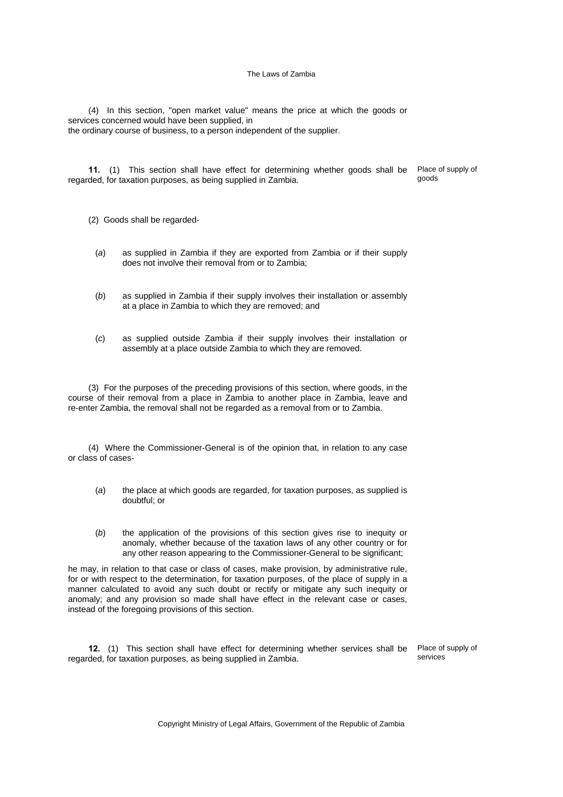(4) In this section, "open market value" means the price at which the goods or services concerned would have been supplied, in the ordinary course of business, to a person independent of the supplier.

**11.** (1) This section shall have effect for determining whether goods shall be regarded, for taxation purposes, as being supplied in Zambia.

Place of supply of goods

(2) Goods shall be regarded-

- (*a*) as supplied in Zambia if they are exported from Zambia or if their supply does not involve their removal from or to Zambia;
- (*b*) as supplied in Zambia if their supply involves their installation or assembly at a place in Zambia to which they are removed; and
- (*c*) as supplied outside Zambia if their supply involves their installation or assembly at a place outside Zambia to which they are removed.

(3) For the purposes of the preceding provisions of this section, where goods, in the course of their removal from a place in Zambia to another place in Zambia, leave and re-enter Zambia, the removal shall not be regarded as a removal from or to Zambia.

(4) Where the Commissioner-General is of the opinion that, in relation to any case or class of cases-

- (*a*) the place at which goods are regarded, for taxation purposes, as supplied is doubtful; or
- (*b*) the application of the provisions of this section gives rise to inequity or anomaly, whether because of the taxation laws of any other country or for any other reason appearing to the Commissioner-General to be significant;

he may, in relation to that case or class of cases, make provision, by administrative rule, for or with respect to the determination, for taxation purposes, of the place of supply in a manner calculated to avoid any such doubt or rectify or mitigate any such inequity or anomaly; and any provision so made shall have effect in the relevant case or cases, instead of the foregoing provisions of this section.

**12.** (1) This section shall have effect for determining whether services shall be regarded, for taxation purposes, as being supplied in Zambia.

Place of supply of services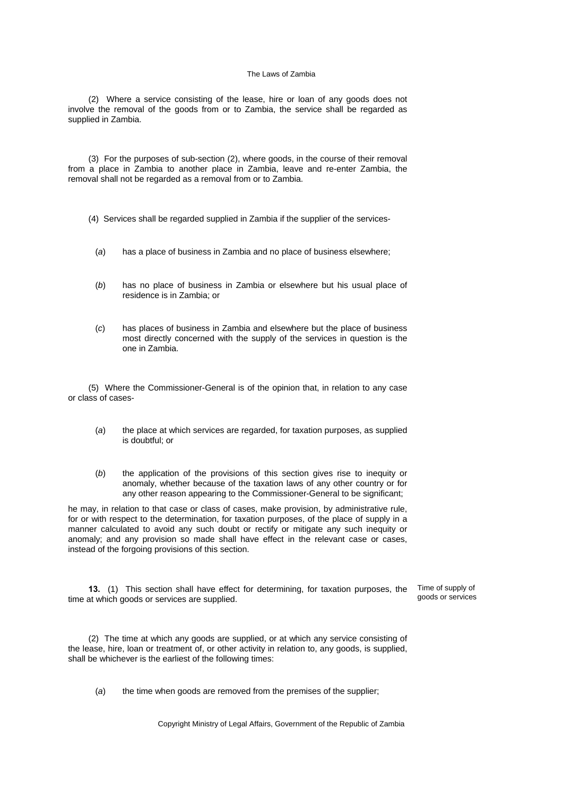(2) Where a service consisting of the lease, hire or loan of any goods does not involve the removal of the goods from or to Zambia, the service shall be regarded as supplied in Zambia.

(3) For the purposes of sub-section (2), where goods, in the course of their removal from a place in Zambia to another place in Zambia, leave and re-enter Zambia, the removal shall not be regarded as a removal from or to Zambia.

- (4) Services shall be regarded supplied in Zambia if the supplier of the services-
	- (*a*) has a place of business in Zambia and no place of business elsewhere;
	- (*b*) has no place of business in Zambia or elsewhere but his usual place of residence is in Zambia; or
	- (*c*) has places of business in Zambia and elsewhere but the place of business most directly concerned with the supply of the services in question is the one in Zambia.

(5) Where the Commissioner-General is of the opinion that, in relation to any case or class of cases-

- (*a*) the place at which services are regarded, for taxation purposes, as supplied is doubtful; or
- (*b*) the application of the provisions of this section gives rise to inequity or anomaly, whether because of the taxation laws of any other country or for any other reason appearing to the Commissioner-General to be significant;

he may, in relation to that case or class of cases, make provision, by administrative rule, for or with respect to the determination, for taxation purposes, of the place of supply in a manner calculated to avoid any such doubt or rectify or mitigate any such inequity or anomaly; and any provision so made shall have effect in the relevant case or cases, instead of the forgoing provisions of this section.

**13.** (1) This section shall have effect for determining, for taxation purposes, the time at which goods or services are supplied.

Time of supply of goods or services

(2) The time at which any goods are supplied, or at which any service consisting of the lease, hire, loan or treatment of, or other activity in relation to, any goods, is supplied, shall be whichever is the earliest of the following times:

(*a*) the time when goods are removed from the premises of the supplier;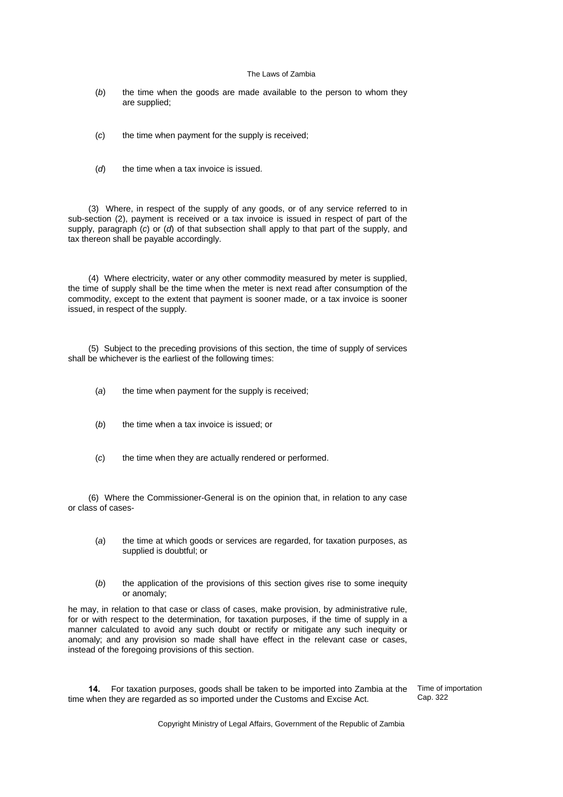- (*b*) the time when the goods are made available to the person to whom they are supplied;
- (*c*) the time when payment for the supply is received;
- (*d*) the time when a tax invoice is issued.

(3) Where, in respect of the supply of any goods, or of any service referred to in sub-section (2), payment is received or a tax invoice is issued in respect of part of the supply, paragraph (*c*) or (*d*) of that subsection shall apply to that part of the supply, and tax thereon shall be payable accordingly.

(4) Where electricity, water or any other commodity measured by meter is supplied, the time of supply shall be the time when the meter is next read after consumption of the commodity, except to the extent that payment is sooner made, or a tax invoice is sooner issued, in respect of the supply.

(5) Subject to the preceding provisions of this section, the time of supply of services shall be whichever is the earliest of the following times:

- (*a*) the time when payment for the supply is received;
- (*b*) the time when a tax invoice is issued; or
- (*c*) the time when they are actually rendered or performed.

(6) Where the Commissioner-General is on the opinion that, in relation to any case or class of cases-

- (*a*) the time at which goods or services are regarded, for taxation purposes, as supplied is doubtful; or
- (*b*) the application of the provisions of this section gives rise to some inequity or anomaly;

he may, in relation to that case or class of cases, make provision, by administrative rule, for or with respect to the determination, for taxation purposes, if the time of supply in a manner calculated to avoid any such doubt or rectify or mitigate any such inequity or anomaly; and any provision so made shall have effect in the relevant case or cases, instead of the foregoing provisions of this section.

**14.** For taxation purposes, goods shall be taken to be imported into Zambia at the time when they are regarded as so imported under the Customs and Excise Act.

Time of importation Cap. 322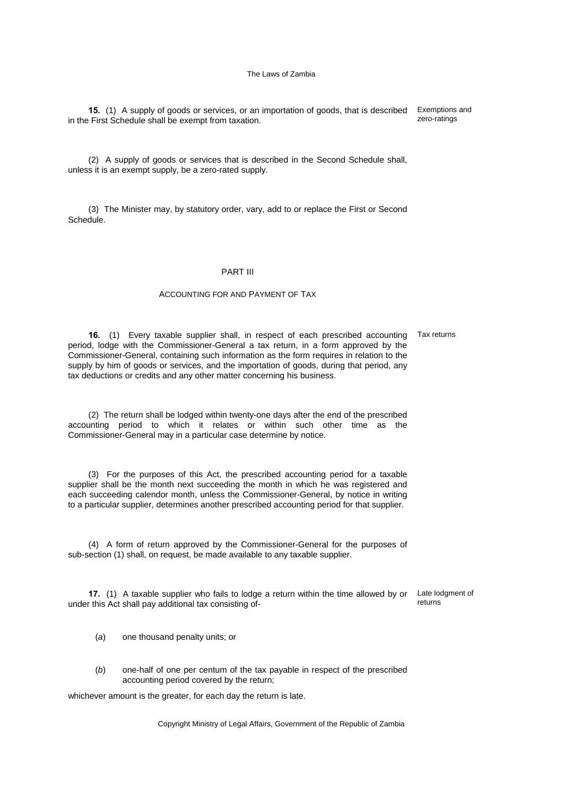**15.** (1) A supply of goods or services, or an importation of goods, that is described in the First Schedule shall be exempt from taxation. Exemptions and zero-ratings

(2) A supply of goods or services that is described in the Second Schedule shall, unless it is an exempt supply, be a zero-rated supply.

(3) The Minister may, by statutory order, vary, add to or replace the First or Second Schedule.

### PART III

### ACCOUNTING FOR AND PAYMENT OF TAX

**16.** (1) Every taxable supplier shall, in respect of each prescribed accounting Tax returns period, lodge with the Commissioner-General a tax return, in a form approved by the Commissioner-General, containing such information as the form requires in relation to the supply by him of goods or services, and the importation of goods, during that period, any tax deductions or credits and any other matter concerning his business.

(2) The return shall be lodged within twenty-one days after the end of the prescribed accounting period to which it relates or within such other time as the Commissioner-General may in a particular case determine by notice.

(3) For the purposes of this Act, the prescribed accounting period for a taxable supplier shall be the month next succeeding the month in which he was registered and each succeeding calendor month, unless the Commissioner-General, by notice in writing to a particular supplier, determines another prescribed accounting period for that supplier.

(4) A form of return approved by the Commissioner-General for the purposes of sub-section (1) shall, on request, be made available to any taxable supplier.

**17.** (1) A taxable supplier who fails to lodge a return within the time allowed by or Late lodgment of under this Act shall pay additional tax consisting ofreturns

- (*a*) one thousand penalty units; or
- (*b*) one-half of one per centum of the tax payable in respect of the prescribed accounting period covered by the return;

whichever amount is the greater, for each day the return is late.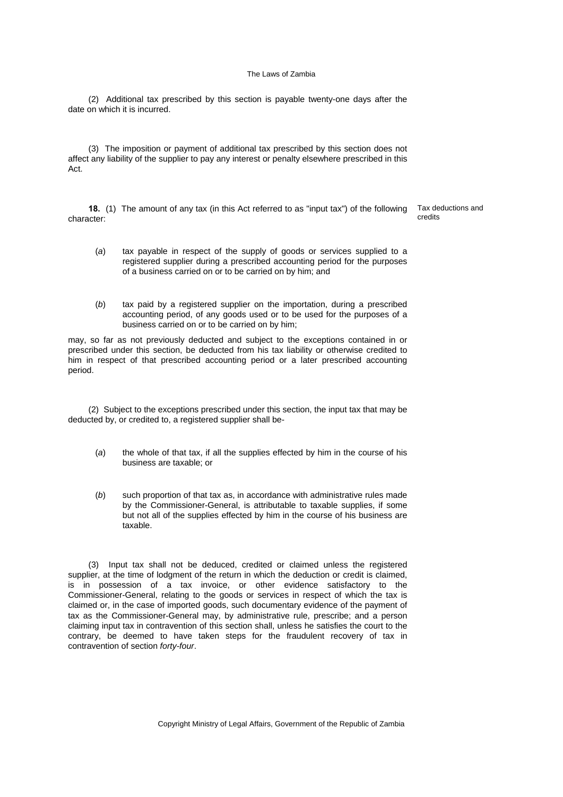(2) Additional tax prescribed by this section is payable twenty-one days after the date on which it is incurred.

(3) The imposition or payment of additional tax prescribed by this section does not affect any liability of the supplier to pay any interest or penalty elsewhere prescribed in this Act.

**18.** (1) The amount of any tax (in this Act referred to as "input tax") of the following character:

Tax deductions and credits

- (*a*) tax payable in respect of the supply of goods or services supplied to a registered supplier during a prescribed accounting period for the purposes of a business carried on or to be carried on by him; and
- (*b*) tax paid by a registered supplier on the importation, during a prescribed accounting period, of any goods used or to be used for the purposes of a business carried on or to be carried on by him;

may, so far as not previously deducted and subject to the exceptions contained in or prescribed under this section, be deducted from his tax liability or otherwise credited to him in respect of that prescribed accounting period or a later prescribed accounting period.

(2) Subject to the exceptions prescribed under this section, the input tax that may be deducted by, or credited to, a registered supplier shall be-

- (*a*) the whole of that tax, if all the supplies effected by him in the course of his business are taxable; or
- (*b*) such proportion of that tax as, in accordance with administrative rules made by the Commissioner-General, is attributable to taxable supplies, if some but not all of the supplies effected by him in the course of his business are taxable.

(3) Input tax shall not be deduced, credited or claimed unless the registered supplier, at the time of lodgment of the return in which the deduction or credit is claimed, is in possession of a tax invoice, or other evidence satisfactory to the Commissioner-General, relating to the goods or services in respect of which the tax is claimed or, in the case of imported goods, such documentary evidence of the payment of tax as the Commissioner-General may, by administrative rule, prescribe; and a person claiming input tax in contravention of this section shall, unless he satisfies the court to the contrary, be deemed to have taken steps for the fraudulent recovery of tax in contravention of section *forty-four*.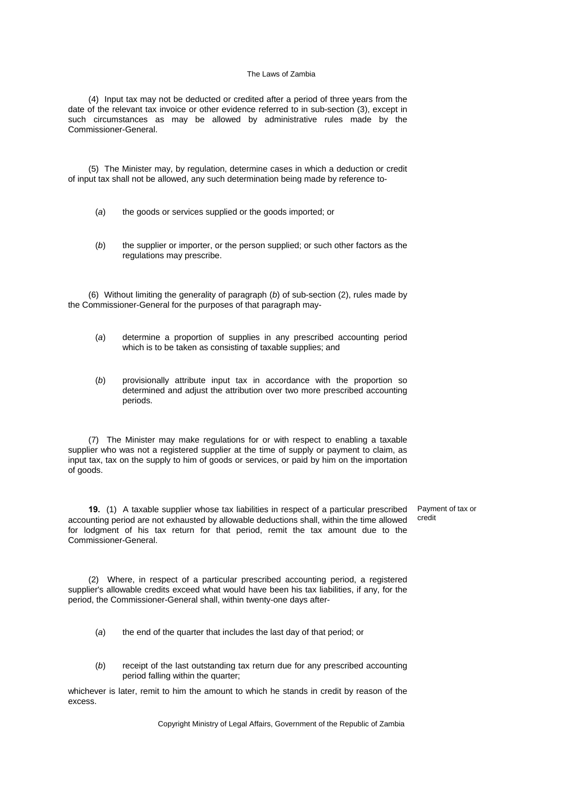(4) Input tax may not be deducted or credited after a period of three years from the date of the relevant tax invoice or other evidence referred to in sub-section (3), except in such circumstances as may be allowed by administrative rules made by the Commissioner-General.

(5) The Minister may, by regulation, determine cases in which a deduction or credit of input tax shall not be allowed, any such determination being made by reference to-

- (*a*) the goods or services supplied or the goods imported; or
- (*b*) the supplier or importer, or the person supplied; or such other factors as the regulations may prescribe.

(6) Without limiting the generality of paragraph (*b*) of sub-section (2), rules made by the Commissioner-General for the purposes of that paragraph may-

- (*a*) determine a proportion of supplies in any prescribed accounting period which is to be taken as consisting of taxable supplies; and
- (*b*) provisionally attribute input tax in accordance with the proportion so determined and adjust the attribution over two more prescribed accounting periods.

(7) The Minister may make regulations for or with respect to enabling a taxable supplier who was not a registered supplier at the time of supply or payment to claim, as input tax, tax on the supply to him of goods or services, or paid by him on the importation of goods.

**19.** (1) A taxable supplier whose tax liabilities in respect of a particular prescribed accounting period are not exhausted by allowable deductions shall, within the time allowed for lodgment of his tax return for that period, remit the tax amount due to the Commissioner-General. Payment of tax or credit

(2) Where, in respect of a particular prescribed accounting period, a registered supplier's allowable credits exceed what would have been his tax liabilities, if any, for the period, the Commissioner-General shall, within twenty-one days after-

- (*a*) the end of the quarter that includes the last day of that period; or
- (*b*) receipt of the last outstanding tax return due for any prescribed accounting period falling within the quarter;

whichever is later, remit to him the amount to which he stands in credit by reason of the excess.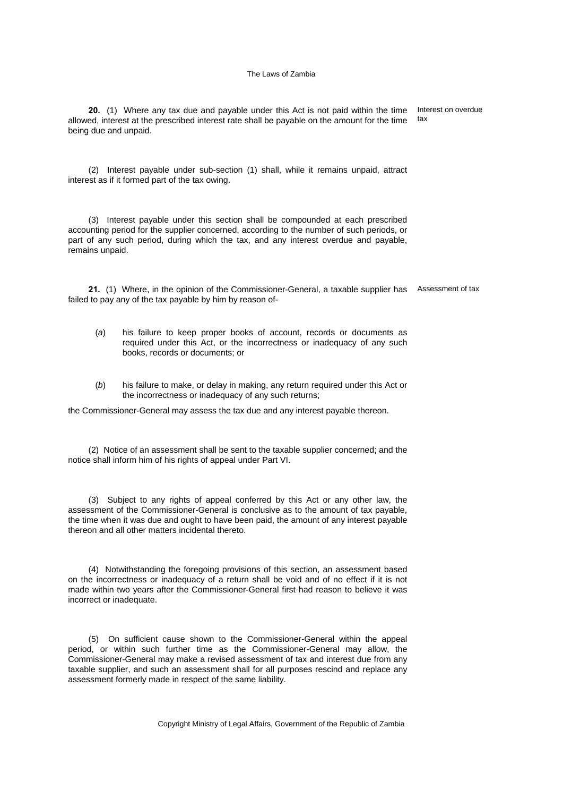**20.** (1) Where any tax due and payable under this Act is not paid within the time allowed, interest at the prescribed interest rate shall be payable on the amount for the time being due and unpaid. Interest on overdue tax

(2) Interest payable under sub-section (1) shall, while it remains unpaid, attract interest as if it formed part of the tax owing.

(3) Interest payable under this section shall be compounded at each prescribed accounting period for the supplier concerned, according to the number of such periods, or part of any such period, during which the tax, and any interest overdue and payable, remains unpaid.

21. (1) Where, in the opinion of the Commissioner-General, a taxable supplier has Assessment of tax failed to pay any of the tax payable by him by reason of-

- (*a*) his failure to keep proper books of account, records or documents as required under this Act, or the incorrectness or inadequacy of any such books, records or documents; or
- (*b*) his failure to make, or delay in making, any return required under this Act or the incorrectness or inadequacy of any such returns;

the Commissioner-General may assess the tax due and any interest payable thereon.

(2) Notice of an assessment shall be sent to the taxable supplier concerned; and the notice shall inform him of his rights of appeal under Part VI.

(3) Subject to any rights of appeal conferred by this Act or any other law, the assessment of the Commissioner-General is conclusive as to the amount of tax payable, the time when it was due and ought to have been paid, the amount of any interest payable thereon and all other matters incidental thereto.

(4) Notwithstanding the foregoing provisions of this section, an assessment based on the incorrectness or inadequacy of a return shall be void and of no effect if it is not made within two years after the Commissioner-General first had reason to believe it was incorrect or inadequate.

(5) On sufficient cause shown to the Commissioner-General within the appeal period, or within such further time as the Commissioner-General may allow, the Commissioner-General may make a revised assessment of tax and interest due from any taxable supplier, and such an assessment shall for all purposes rescind and replace any assessment formerly made in respect of the same liability.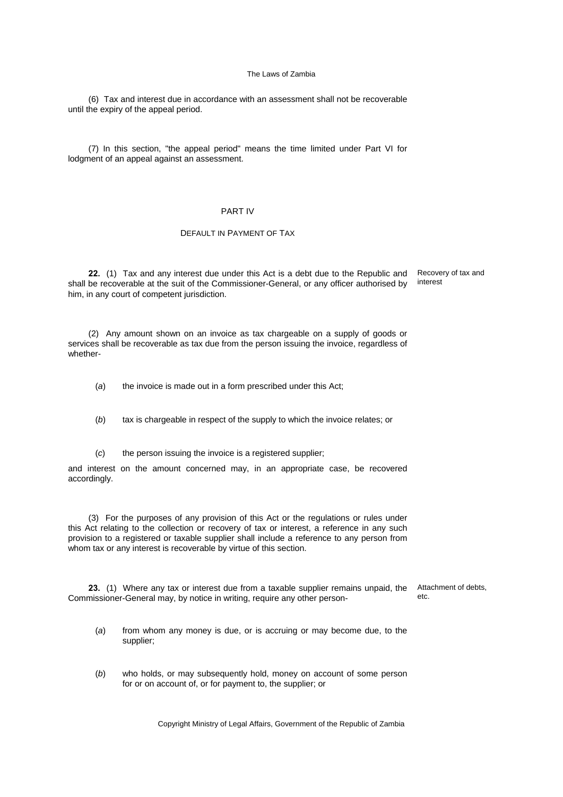(6) Tax and interest due in accordance with an assessment shall not be recoverable until the expiry of the appeal period.

(7) In this section, "the appeal period" means the time limited under Part VI for lodgment of an appeal against an assessment.

## PART IV

## DEFAULT IN PAYMENT OF TAX

**22.** (1) Tax and any interest due under this Act is a debt due to the Republic and shall be recoverable at the suit of the Commissioner-General, or any officer authorised by him, in any court of competent jurisdiction. Recovery of tax and interest

(2) Any amount shown on an invoice as tax chargeable on a supply of goods or services shall be recoverable as tax due from the person issuing the invoice, regardless of whether-

(*a*) the invoice is made out in a form prescribed under this Act;

(*b*) tax is chargeable in respect of the supply to which the invoice relates; or

(*c*) the person issuing the invoice is a registered supplier;

and interest on the amount concerned may, in an appropriate case, be recovered accordingly.

(3) For the purposes of any provision of this Act or the regulations or rules under this Act relating to the collection or recovery of tax or interest, a reference in any such provision to a registered or taxable supplier shall include a reference to any person from whom tax or any interest is recoverable by virtue of this section.

**23.** (1) Where any tax or interest due from a taxable supplier remains unpaid, the Commissioner-General may, by notice in writing, require any other person-

Attachment of debts, etc.

- (*a*) from whom any money is due, or is accruing or may become due, to the supplier;
- (*b*) who holds, or may subsequently hold, money on account of some person for or on account of, or for payment to, the supplier; or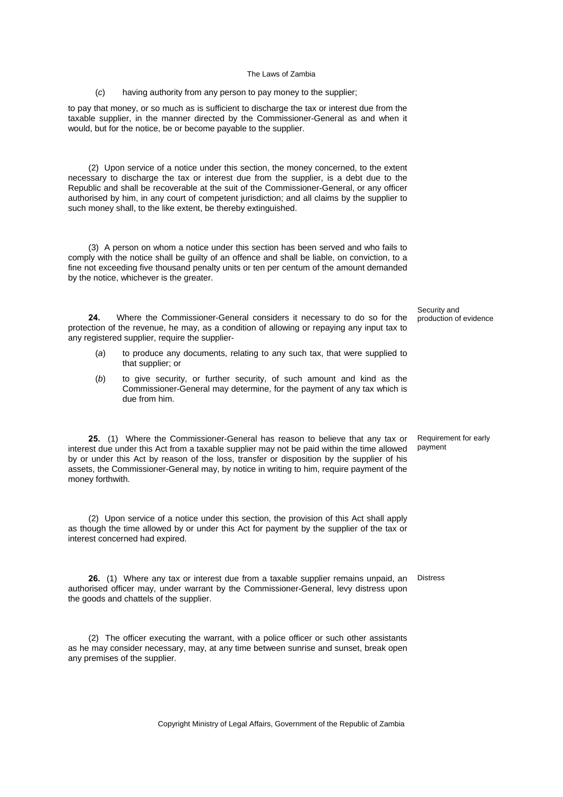(*c*) having authority from any person to pay money to the supplier;

to pay that money, or so much as is sufficient to discharge the tax or interest due from the taxable supplier, in the manner directed by the Commissioner-General as and when it would, but for the notice, be or become payable to the supplier.

(2) Upon service of a notice under this section, the money concerned, to the extent necessary to discharge the tax or interest due from the supplier, is a debt due to the Republic and shall be recoverable at the suit of the Commissioner-General, or any officer authorised by him, in any court of competent jurisdiction; and all claims by the supplier to such money shall, to the like extent, be thereby extinguished.

(3) A person on whom a notice under this section has been served and who fails to comply with the notice shall be guilty of an offence and shall be liable, on conviction, to a fine not exceeding five thousand penalty units or ten per centum of the amount demanded by the notice, whichever is the greater.

**24.** Where the Commissioner-General considers it necessary to do so for the protection of the revenue, he may, as a condition of allowing or repaying any input tax to any registered supplier, require the supplier-

- (*a*) to produce any documents, relating to any such tax, that were supplied to that supplier; or
- (*b*) to give security, or further security, of such amount and kind as the Commissioner-General may determine, for the payment of any tax which is due from him.

**25.** (1) Where the Commissioner-General has reason to believe that any tax or interest due under this Act from a taxable supplier may not be paid within the time allowed by or under this Act by reason of the loss, transfer or disposition by the supplier of his assets, the Commissioner-General may, by notice in writing to him, require payment of the money forthwith.

(2) Upon service of a notice under this section, the provision of this Act shall apply as though the time allowed by or under this Act for payment by the supplier of the tax or interest concerned had expired.

**26.** (1) Where any tax or interest due from a taxable supplier remains unpaid, an Distress authorised officer may, under warrant by the Commissioner-General, levy distress upon the goods and chattels of the supplier.

(2) The officer executing the warrant, with a police officer or such other assistants as he may consider necessary, may, at any time between sunrise and sunset, break open any premises of the supplier.

production of evidence

Security and

Requirement for early payment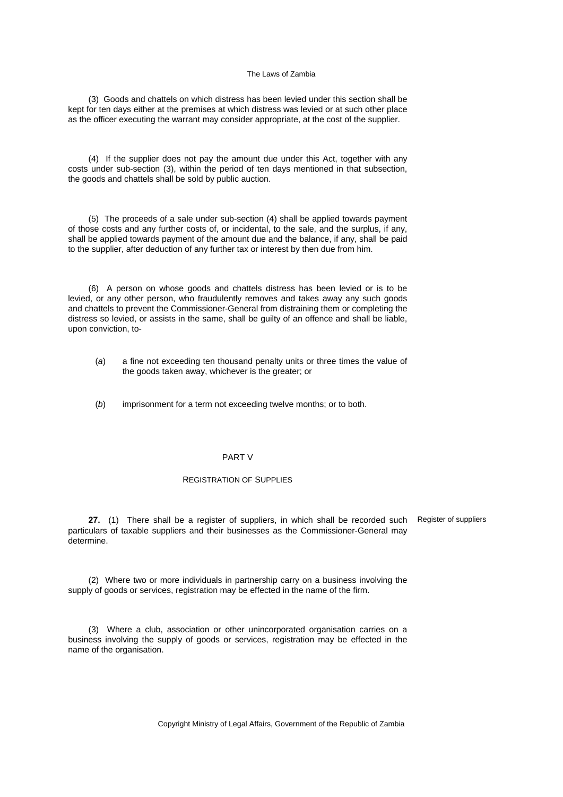(3) Goods and chattels on which distress has been levied under this section shall be kept for ten days either at the premises at which distress was levied or at such other place as the officer executing the warrant may consider appropriate, at the cost of the supplier.

(4) If the supplier does not pay the amount due under this Act, together with any costs under sub-section (3), within the period of ten days mentioned in that subsection, the goods and chattels shall be sold by public auction.

(5) The proceeds of a sale under sub-section (4) shall be applied towards payment of those costs and any further costs of, or incidental, to the sale, and the surplus, if any, shall be applied towards payment of the amount due and the balance, if any, shall be paid to the supplier, after deduction of any further tax or interest by then due from him.

(6) A person on whose goods and chattels distress has been levied or is to be levied, or any other person, who fraudulently removes and takes away any such goods and chattels to prevent the Commissioner-General from distraining them or completing the distress so levied, or assists in the same, shall be guilty of an offence and shall be liable, upon conviction, to-

- (*a*) a fine not exceeding ten thousand penalty units or three times the value of the goods taken away, whichever is the greater; or
- (*b*) imprisonment for a term not exceeding twelve months; or to both.

### PART V

#### REGISTRATION OF SUPPLIES

**27.** (1) There shall be a register of suppliers, in which shall be recorded such particulars of taxable suppliers and their businesses as the Commissioner-General may determine.

Register of suppliers

(2) Where two or more individuals in partnership carry on a business involving the supply of goods or services, registration may be effected in the name of the firm.

(3) Where a club, association or other unincorporated organisation carries on a business involving the supply of goods or services, registration may be effected in the name of the organisation.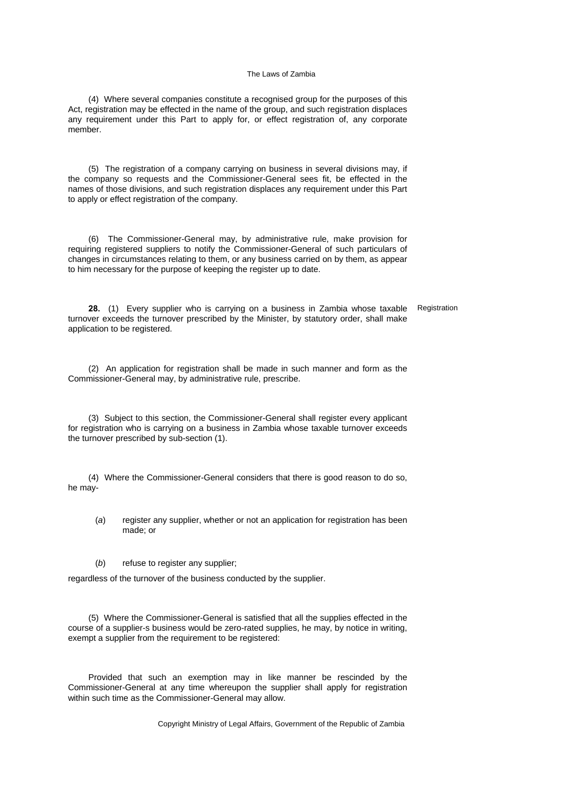(4) Where several companies constitute a recognised group for the purposes of this Act, registration may be effected in the name of the group, and such registration displaces any requirement under this Part to apply for, or effect registration of, any corporate member.

(5) The registration of a company carrying on business in several divisions may, if the company so requests and the Commissioner-General sees fit, be effected in the names of those divisions, and such registration displaces any requirement under this Part to apply or effect registration of the company.

(6) The Commissioner-General may, by administrative rule, make provision for requiring registered suppliers to notify the Commissioner-General of such particulars of changes in circumstances relating to them, or any business carried on by them, as appear to him necessary for the purpose of keeping the register up to date.

**28.** (1) Every supplier who is carrying on a business in Zambia whose taxable turnover exceeds the turnover prescribed by the Minister, by statutory order, shall make application to be registered. Registration

(2) An application for registration shall be made in such manner and form as the Commissioner-General may, by administrative rule, prescribe.

(3) Subject to this section, the Commissioner-General shall register every applicant for registration who is carrying on a business in Zambia whose taxable turnover exceeds the turnover prescribed by sub-section (1).

(4) Where the Commissioner-General considers that there is good reason to do so, he may-

- (*a*) register any supplier, whether or not an application for registration has been made; or
- (*b*) refuse to register any supplier;

regardless of the turnover of the business conducted by the supplier.

(5) Where the Commissioner-General is satisfied that all the supplies effected in the course of a supplier-s business would be zero-rated supplies, he may, by notice in writing, exempt a supplier from the requirement to be registered:

Provided that such an exemption may in like manner be rescinded by the Commissioner-General at any time whereupon the supplier shall apply for registration within such time as the Commissioner-General may allow.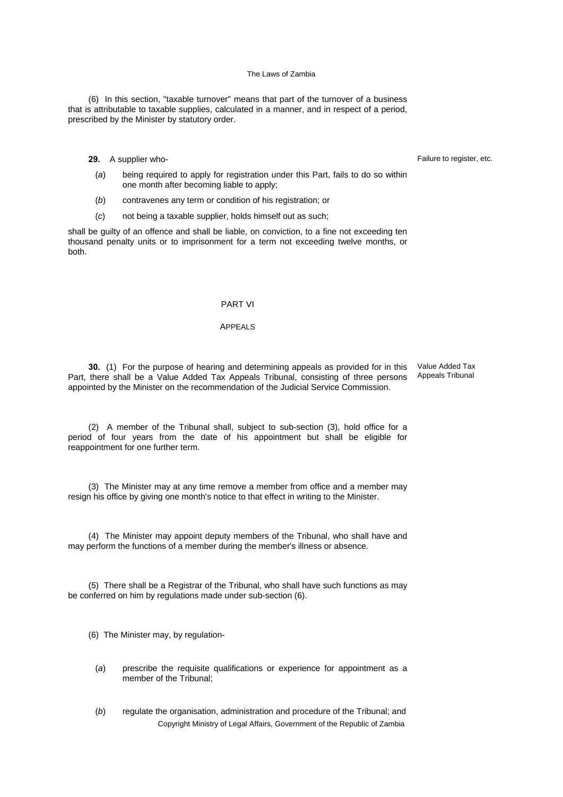(6) In this section, "taxable turnover" means that part of the turnover of a business that is attributable to taxable supplies, calculated in a manner, and in respect of a period, prescribed by the Minister by statutory order.

## **29.** A supplier who-

- (*a*) being required to apply for registration under this Part, fails to do so within one month after becoming liable to apply;
- (*b*) contravenes any term or condition of his registration; or
- (*c*) not being a taxable supplier, holds himself out as such;

shall be guilty of an offence and shall be liable, on conviction, to a fine not exceeding ten thousand penalty units or to imprisonment for a term not exceeding twelve months, or both.

### PART VI

#### APPEALS

**30.** (1) For the purpose of hearing and determining appeals as provided for in this Part, there shall be a Value Added Tax Appeals Tribunal, consisting of three persons appointed by the Minister on the recommendation of the Judicial Service Commission.

Value Added Tax Appeals Tribunal

(2) A member of the Tribunal shall, subject to sub-section (3), hold office for a period of four years from the date of his appointment but shall be eligible for reappointment for one further term.

(3) The Minister may at any time remove a member from office and a member may resign his office by giving one month's notice to that effect in writing to the Minister.

(4) The Minister may appoint deputy members of the Tribunal, who shall have and may perform the functions of a member during the member's illness or absence.

(5) There shall be a Registrar of the Tribunal, who shall have such functions as may be conferred on him by regulations made under sub-section (6).

(6) The Minister may, by regulation-

- (*a*) prescribe the requisite qualifications or experience for appointment as a member of the Tribunal;
- Copyright Ministry of Legal Affairs, Government of the Republic of Zambia (*b*) regulate the organisation, administration and procedure of the Tribunal; and

Failure to register, etc.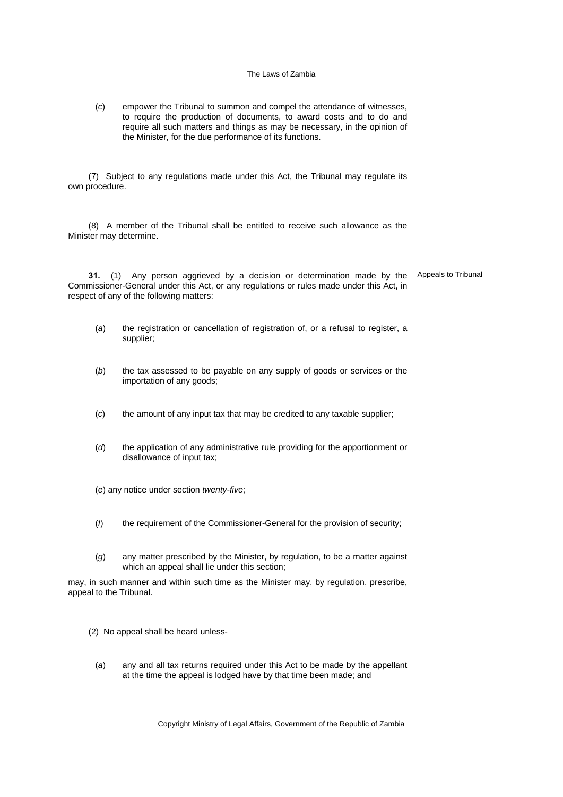(*c*) empower the Tribunal to summon and compel the attendance of witnesses, to require the production of documents, to award costs and to do and require all such matters and things as may be necessary, in the opinion of the Minister, for the due performance of its functions.

(7) Subject to any regulations made under this Act, the Tribunal may regulate its own procedure.

(8) A member of the Tribunal shall be entitled to receive such allowance as the Minister may determine.

**31.** (1) Any person aggrieved by a decision or determination made by the Appeals to Tribunal Commissioner-General under this Act, or any regulations or rules made under this Act, in respect of any of the following matters:

- (*a*) the registration or cancellation of registration of, or a refusal to register, a supplier;
- (*b*) the tax assessed to be payable on any supply of goods or services or the importation of any goods;
- (*c*) the amount of any input tax that may be credited to any taxable supplier;
- (*d*) the application of any administrative rule providing for the apportionment or disallowance of input tax;
- (*e*) any notice under section *twenty-five*;
- (*f*) the requirement of the Commissioner-General for the provision of security;
- (*g*) any matter prescribed by the Minister, by regulation, to be a matter against which an appeal shall lie under this section;

may, in such manner and within such time as the Minister may, by regulation, prescribe, appeal to the Tribunal.

- (2) No appeal shall be heard unless-
	- (*a*) any and all tax returns required under this Act to be made by the appellant at the time the appeal is lodged have by that time been made; and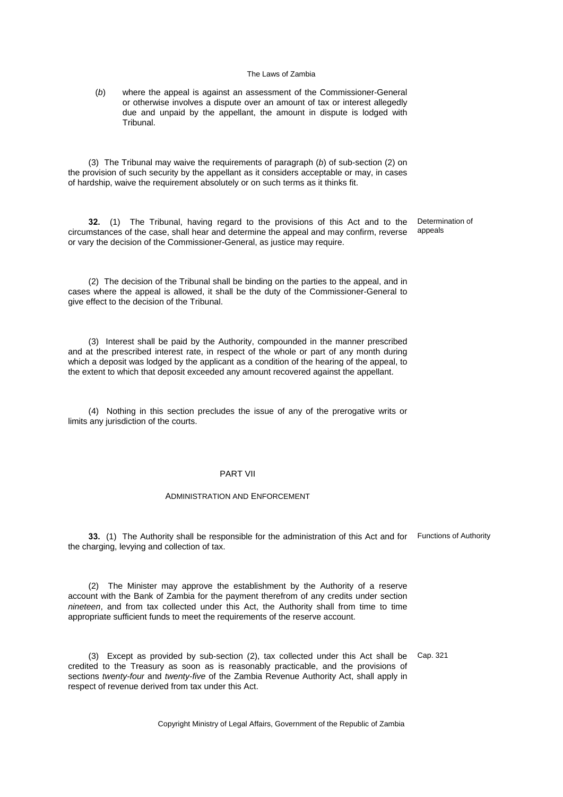(*b*) where the appeal is against an assessment of the Commissioner-General or otherwise involves a dispute over an amount of tax or interest allegedly due and unpaid by the appellant, the amount in dispute is lodged with Tribunal.

(3) The Tribunal may waive the requirements of paragraph (*b*) of sub-section (2) on the provision of such security by the appellant as it considers acceptable or may, in cases of hardship, waive the requirement absolutely or on such terms as it thinks fit.

**32.** (1) The Tribunal, having regard to the provisions of this Act and to the circumstances of the case, shall hear and determine the appeal and may confirm, reverse or vary the decision of the Commissioner-General, as justice may require. Determination of appeals

(2) The decision of the Tribunal shall be binding on the parties to the appeal, and in cases where the appeal is allowed, it shall be the duty of the Commissioner-General to give effect to the decision of the Tribunal.

(3) Interest shall be paid by the Authority, compounded in the manner prescribed and at the prescribed interest rate, in respect of the whole or part of any month during which a deposit was lodged by the applicant as a condition of the hearing of the appeal, to the extent to which that deposit exceeded any amount recovered against the appellant.

(4) Nothing in this section precludes the issue of any of the prerogative writs or limits any jurisdiction of the courts.

### PART VII

#### ADMINISTRATION AND ENFORCEMENT

**33.** (1) The Authority shall be responsible for the administration of this Act and for Functions of Authority the charging, levying and collection of tax.

(2) The Minister may approve the establishment by the Authority of a reserve account with the Bank of Zambia for the payment therefrom of any credits under section *nineteen*, and from tax collected under this Act, the Authority shall from time to time appropriate sufficient funds to meet the requirements of the reserve account.

(3) Except as provided by sub-section (2), tax collected under this Act shall be Cap. 321credited to the Treasury as soon as is reasonably practicable, and the provisions of sections *twenty-four* and *twenty-five* of the Zambia Revenue Authority Act, shall apply in respect of revenue derived from tax under this Act.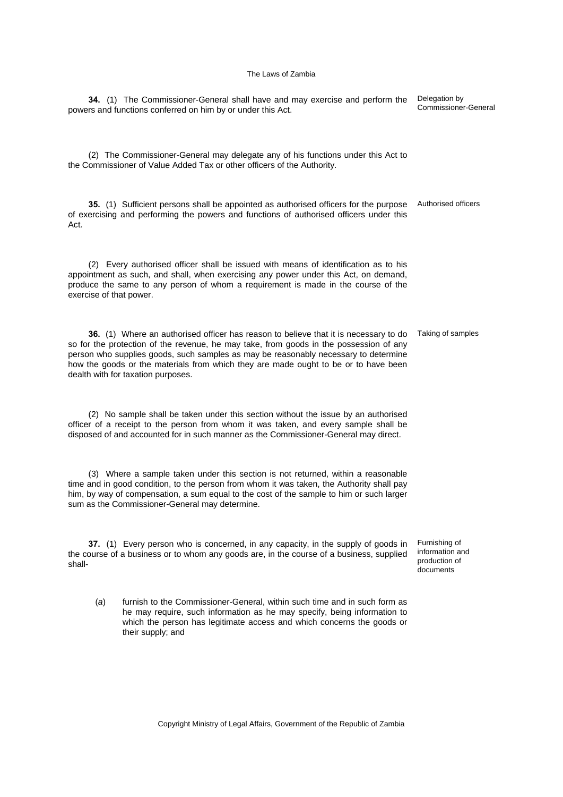**34.** (1) The Commissioner-General shall have and may exercise and perform the powers and functions conferred on him by or under this Act. Delegation by Commissioner-General (2) The Commissioner-General may delegate any of his functions under this Act to the Commissioner of Value Added Tax or other officers of the Authority. **35.** (1) Sufficient persons shall be appointed as authorised officers for the purpose of exercising and performing the powers and functions of authorised officers under this Act. Authorised officers (2) Every authorised officer shall be issued with means of identification as to his appointment as such, and shall, when exercising any power under this Act, on demand, produce the same to any person of whom a requirement is made in the course of the exercise of that power. **36.** (1) Where an authorised officer has reason to believe that it is necessary to do Taking of samples so for the protection of the revenue, he may take, from goods in the possession of any person who supplies goods, such samples as may be reasonably necessary to determine how the goods or the materials from which they are made ought to be or to have been dealth with for taxation purposes. (2) No sample shall be taken under this section without the issue by an authorised officer of a receipt to the person from whom it was taken, and every sample shall be disposed of and accounted for in such manner as the Commissioner-General may direct. (3) Where a sample taken under this section is not returned, within a reasonable time and in good condition, to the person from whom it was taken, the Authority shall pay him, by way of compensation, a sum equal to the cost of the sample to him or such larger sum as the Commissioner-General may determine. **37.** (1) Every person who is concerned, in any capacity, in the supply of goods in the course of a business or to whom any goods are, in the course of a business, supplied shall-Furnishing of information and production of documents (*a*) furnish to the Commissioner-General, within such time and in such form as he may require, such information as he may specify, being information to which the person has legitimate access and which concerns the goods or their supply; and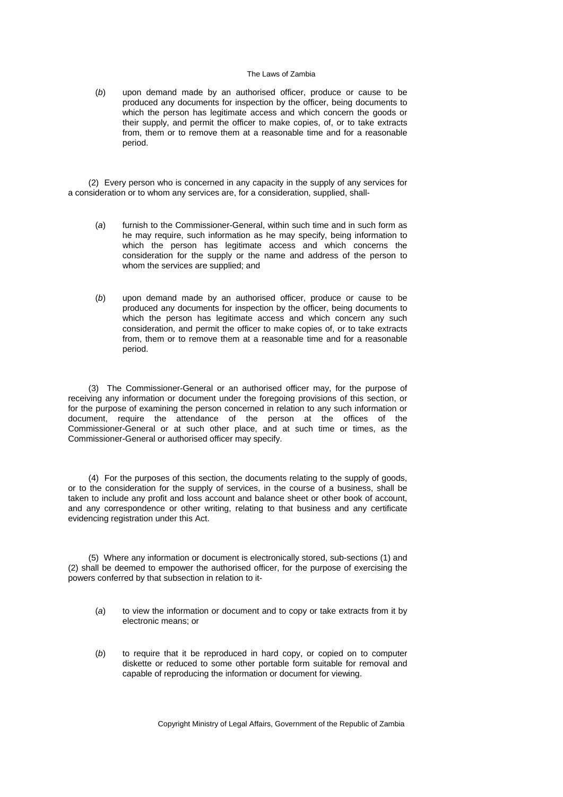(*b*) upon demand made by an authorised officer, produce or cause to be produced any documents for inspection by the officer, being documents to which the person has legitimate access and which concern the goods or their supply, and permit the officer to make copies, of, or to take extracts from, them or to remove them at a reasonable time and for a reasonable period.

(2) Every person who is concerned in any capacity in the supply of any services for a consideration or to whom any services are, for a consideration, supplied, shall-

- (*a*) furnish to the Commissioner-General, within such time and in such form as he may require, such information as he may specify, being information to which the person has legitimate access and which concerns the consideration for the supply or the name and address of the person to whom the services are supplied; and
- (*b*) upon demand made by an authorised officer, produce or cause to be produced any documents for inspection by the officer, being documents to which the person has legitimate access and which concern any such consideration, and permit the officer to make copies of, or to take extracts from, them or to remove them at a reasonable time and for a reasonable period.

(3) The Commissioner-General or an authorised officer may, for the purpose of receiving any information or document under the foregoing provisions of this section, or for the purpose of examining the person concerned in relation to any such information or document, require the attendance of the person at the offices of the Commissioner-General or at such other place, and at such time or times, as the Commissioner-General or authorised officer may specify.

(4) For the purposes of this section, the documents relating to the supply of goods, or to the consideration for the supply of services, in the course of a business, shall be taken to include any profit and loss account and balance sheet or other book of account, and any correspondence or other writing, relating to that business and any certificate evidencing registration under this Act.

(5) Where any information or document is electronically stored, sub-sections (1) and (2) shall be deemed to empower the authorised officer, for the purpose of exercising the powers conferred by that subsection in relation to it-

- (*a*) to view the information or document and to copy or take extracts from it by electronic means; or
- (*b*) to require that it be reproduced in hard copy, or copied on to computer diskette or reduced to some other portable form suitable for removal and capable of reproducing the information or document for viewing.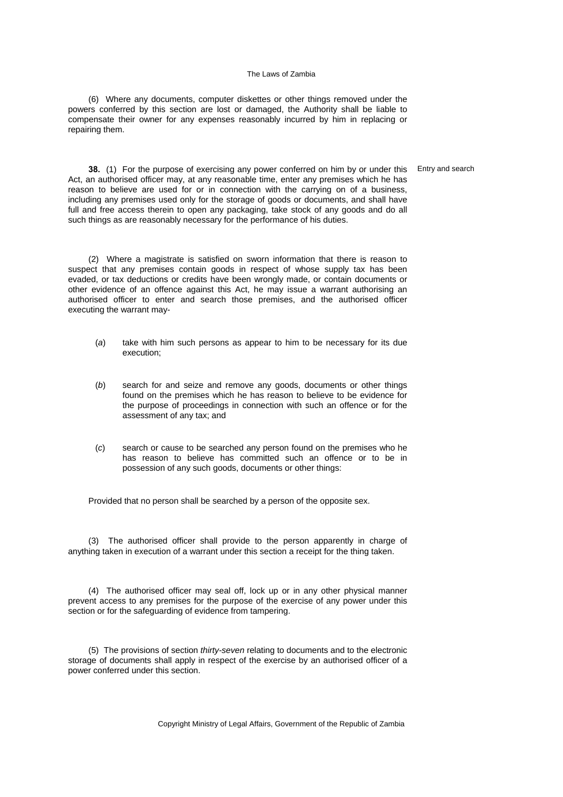(6) Where any documents, computer diskettes or other things removed under the powers conferred by this section are lost or damaged, the Authority shall be liable to compensate their owner for any expenses reasonably incurred by him in replacing or repairing them.

**38.** (1) For the purpose of exercising any power conferred on him by or under this Act, an authorised officer may, at any reasonable time, enter any premises which he has reason to believe are used for or in connection with the carrying on of a business, including any premises used only for the storage of goods or documents, and shall have full and free access therein to open any packaging, take stock of any goods and do all such things as are reasonably necessary for the performance of his duties.

(2) Where a magistrate is satisfied on sworn information that there is reason to suspect that any premises contain goods in respect of whose supply tax has been evaded, or tax deductions or credits have been wrongly made, or contain documents or other evidence of an offence against this Act, he may issue a warrant authorising an authorised officer to enter and search those premises, and the authorised officer executing the warrant may-

- (*a*) take with him such persons as appear to him to be necessary for its due execution;
- (*b*) search for and seize and remove any goods, documents or other things found on the premises which he has reason to believe to be evidence for the purpose of proceedings in connection with such an offence or for the assessment of any tax; and
- (*c*) search or cause to be searched any person found on the premises who he has reason to believe has committed such an offence or to be in possession of any such goods, documents or other things:

Provided that no person shall be searched by a person of the opposite sex.

(3) The authorised officer shall provide to the person apparently in charge of anything taken in execution of a warrant under this section a receipt for the thing taken.

(4) The authorised officer may seal off, lock up or in any other physical manner prevent access to any premises for the purpose of the exercise of any power under this section or for the safeguarding of evidence from tampering.

(5) The provisions of section *thirty-seven* relating to documents and to the electronic storage of documents shall apply in respect of the exercise by an authorised officer of a power conferred under this section.

Copyright Ministry of Legal Affairs, Government of the Republic of Zambia

Entry and search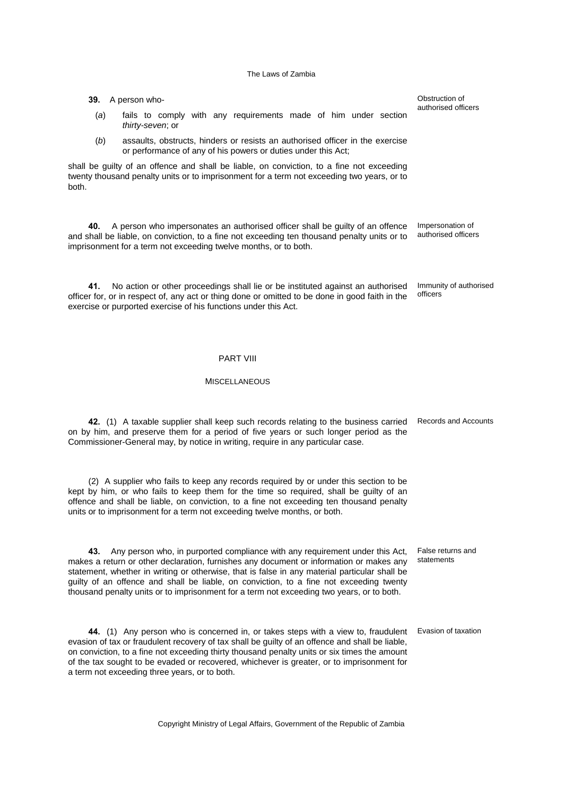- (*a*) fails to comply with any requirements made of him under section *thirty-seven*; or
- (*b*) assaults, obstructs, hinders or resists an authorised officer in the exercise or performance of any of his powers or duties under this Act;

shall be guilty of an offence and shall be liable, on conviction, to a fine not exceeding twenty thousand penalty units or to imprisonment for a term not exceeding two years, or to both.

**39.** A person who-

**40.** A person who impersonates an authorised officer shall be guilty of an offence and shall be liable, on conviction, to a fine not exceeding ten thousand penalty units or to imprisonment for a term not exceeding twelve months, or to both.

**41.** No action or other proceedings shall lie or be instituted against an authorised officer for, or in respect of, any act or thing done or omitted to be done in good faith in the exercise or purported exercise of his functions under this Act.

## PART VIII

## MISCELLANEOUS

**42.** (1) A taxable supplier shall keep such records relating to the business carried Records and Accounts on by him, and preserve them for a period of five years or such longer period as the Commissioner-General may, by notice in writing, require in any particular case.

(2) A supplier who fails to keep any records required by or under this section to be kept by him, or who fails to keep them for the time so required, shall be guilty of an offence and shall be liable, on conviction, to a fine not exceeding ten thousand penalty units or to imprisonment for a term not exceeding twelve months, or both.

**43.** Any person who, in purported compliance with any requirement under this Act, makes a return or other declaration, furnishes any document or information or makes any statement, whether in writing or otherwise, that is false in any material particular shall be guilty of an offence and shall be liable, on conviction, to a fine not exceeding twenty thousand penalty units or to imprisonment for a term not exceeding two years, or to both.

**44.** (1) Any person who is concerned in, or takes steps with a view to, fraudulent evasion of tax or fraudulent recovery of tax shall be guilty of an offence and shall be liable, on conviction, to a fine not exceeding thirty thousand penalty units or six times the amount of the tax sought to be evaded or recovered, whichever is greater, or to imprisonment for a term not exceeding three years, or to both.

Copyright Ministry of Legal Affairs, Government of the Republic of Zambia

Obstruction of authorised officers

Impersonation of authorised officers

Immunity of authorised officers

False returns and statements

Evasion of taxation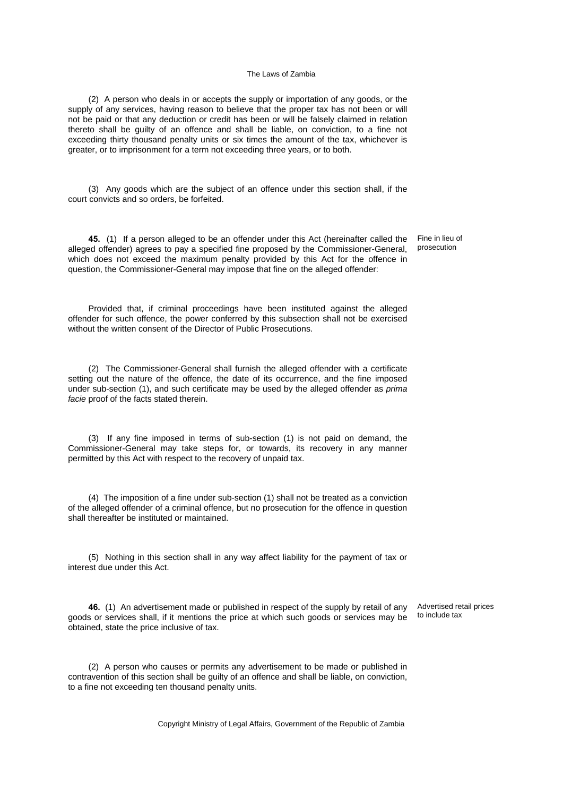(2) A person who deals in or accepts the supply or importation of any goods, or the supply of any services, having reason to believe that the proper tax has not been or will not be paid or that any deduction or credit has been or will be falsely claimed in relation thereto shall be guilty of an offence and shall be liable, on conviction, to a fine not exceeding thirty thousand penalty units or six times the amount of the tax, whichever is greater, or to imprisonment for a term not exceeding three years, or to both.

(3) Any goods which are the subject of an offence under this section shall, if the court convicts and so orders, be forfeited.

**45.** (1) If a person alleged to be an offender under this Act (hereinafter called the alleged offender) agrees to pay a specified fine proposed by the Commissioner-General, which does not exceed the maximum penalty provided by this Act for the offence in question, the Commissioner-General may impose that fine on the alleged offender:

Fine in lieu of prosecution

Provided that, if criminal proceedings have been instituted against the alleged offender for such offence, the power conferred by this subsection shall not be exercised without the written consent of the Director of Public Prosecutions.

(2) The Commissioner-General shall furnish the alleged offender with a certificate setting out the nature of the offence, the date of its occurrence, and the fine imposed under sub-section (1), and such certificate may be used by the alleged offender as *prima facie* proof of the facts stated therein.

(3) If any fine imposed in terms of sub-section (1) is not paid on demand, the Commissioner-General may take steps for, or towards, its recovery in any manner permitted by this Act with respect to the recovery of unpaid tax.

(4) The imposition of a fine under sub-section (1) shall not be treated as a conviction of the alleged offender of a criminal offence, but no prosecution for the offence in question shall thereafter be instituted or maintained.

(5) Nothing in this section shall in any way affect liability for the payment of tax or interest due under this Act.

**46.** (1) An advertisement made or published in respect of the supply by retail of any goods or services shall, if it mentions the price at which such goods or services may be obtained, state the price inclusive of tax.

Advertised retail prices to include tax

(2) A person who causes or permits any advertisement to be made or published in contravention of this section shall be guilty of an offence and shall be liable, on conviction, to a fine not exceeding ten thousand penalty units.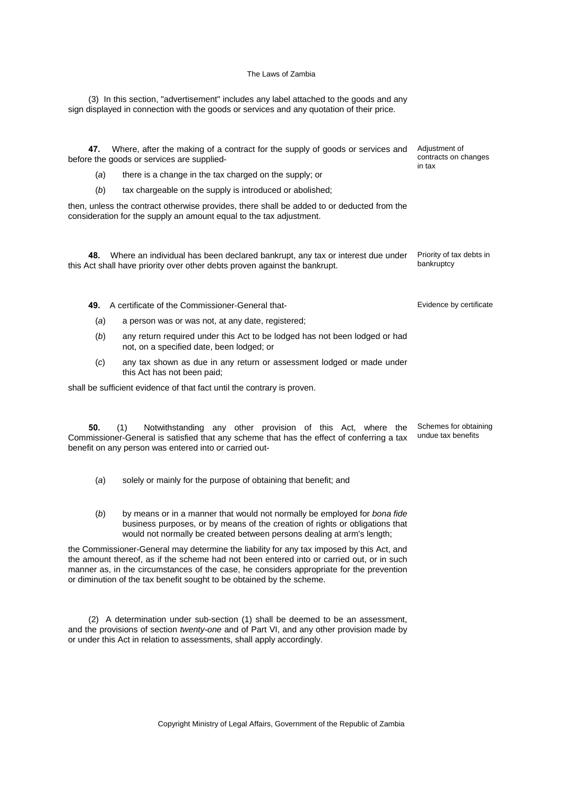(3) In this section, "advertisement" includes any label attached to the goods and any sign displayed in connection with the goods or services and any quotation of their price.

**47.** Where, after the making of a contract for the supply of goods or services and before the goods or services are supplied-

(*a*) there is a change in the tax charged on the supply; or

(*b*) tax chargeable on the supply is introduced or abolished;

then, unless the contract otherwise provides, there shall be added to or deducted from the consideration for the supply an amount equal to the tax adjustment.

**48.** Where an individual has been declared bankrupt, any tax or interest due under this Act shall have priority over other debts proven against the bankrupt. Priority of tax debts in bankruptcy

**49.** A certificate of the Commissioner-General that-

- (*a*) a person was or was not, at any date, registered;
- (*b*) any return required under this Act to be lodged has not been lodged or had not, on a specified date, been lodged; or
- (*c*) any tax shown as due in any return or assessment lodged or made under this Act has not been paid;

shall be sufficient evidence of that fact until the contrary is proven.

**50.** (1) Notwithstanding any other provision of this Act, where the Commissioner-General is satisfied that any scheme that has the effect of conferring a tax benefit on any person was entered into or carried outundue tax benefits

- (*a*) solely or mainly for the purpose of obtaining that benefit; and
- (*b*) by means or in a manner that would not normally be employed for *bona fide* business purposes, or by means of the creation of rights or obligations that would not normally be created between persons dealing at arm's length;

the Commissioner-General may determine the liability for any tax imposed by this Act, and the amount thereof, as if the scheme had not been entered into or carried out, or in such manner as, in the circumstances of the case, he considers appropriate for the prevention or diminution of the tax benefit sought to be obtained by the scheme.

(2) A determination under sub-section (1) shall be deemed to be an assessment, and the provisions of section *twenty-one* and of Part VI, and any other provision made by or under this Act in relation to assessments, shall apply accordingly.

Copyright Ministry of Legal Affairs, Government of the Republic of Zambia

Adjustment of contracts on changes in tax

Evidence by certificate

Schemes for obtaining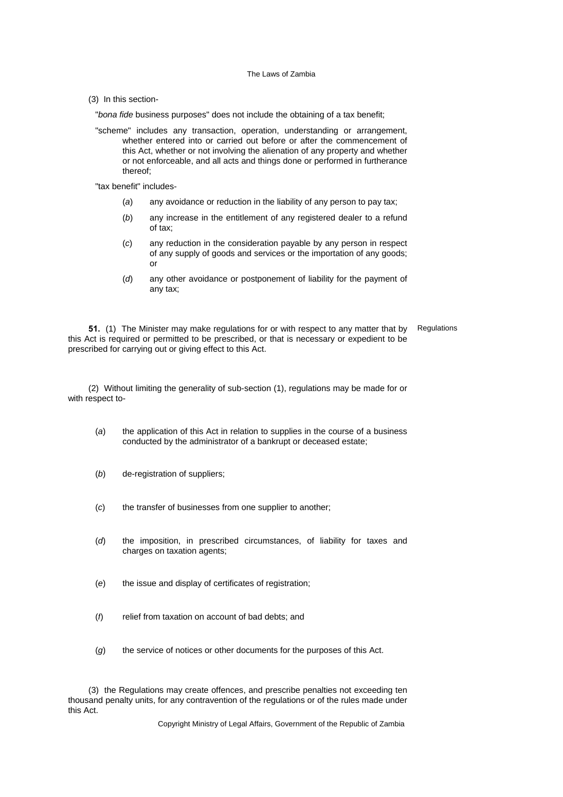(3) In this section-

"*bona fide* business purposes" does not include the obtaining of a tax benefit;

"scheme" includes any transaction, operation, understanding or arrangement, whether entered into or carried out before or after the commencement of this Act, whether or not involving the alienation of any property and whether or not enforceable, and all acts and things done or performed in furtherance thereof;

"tax benefit" includes-

- (*a*) any avoidance or reduction in the liability of any person to pay tax;
- (*b*) any increase in the entitlement of any registered dealer to a refund of tax;
- (*c*) any reduction in the consideration payable by any person in respect of any supply of goods and services or the importation of any goods; or
- (*d*) any other avoidance or postponement of liability for the payment of any tax;

**51.** (1) The Minister may make regulations for or with respect to any matter that by this Act is required or permitted to be prescribed, or that is necessary or expedient to be prescribed for carrying out or giving effect to this Act. **Regulations** 

(2) Without limiting the generality of sub-section (1), regulations may be made for or with respect to-

- (*a*) the application of this Act in relation to supplies in the course of a business conducted by the administrator of a bankrupt or deceased estate;
- (*b*) de-registration of suppliers;
- (*c*) the transfer of businesses from one supplier to another;
- (*d*) the imposition, in prescribed circumstances, of liability for taxes and charges on taxation agents;
- (*e*) the issue and display of certificates of registration;
- (*f*) relief from taxation on account of bad debts; and
- (*g*) the service of notices or other documents for the purposes of this Act.

(3) the Regulations may create offences, and prescribe penalties not exceeding ten thousand penalty units, for any contravention of the regulations or of the rules made under this Act.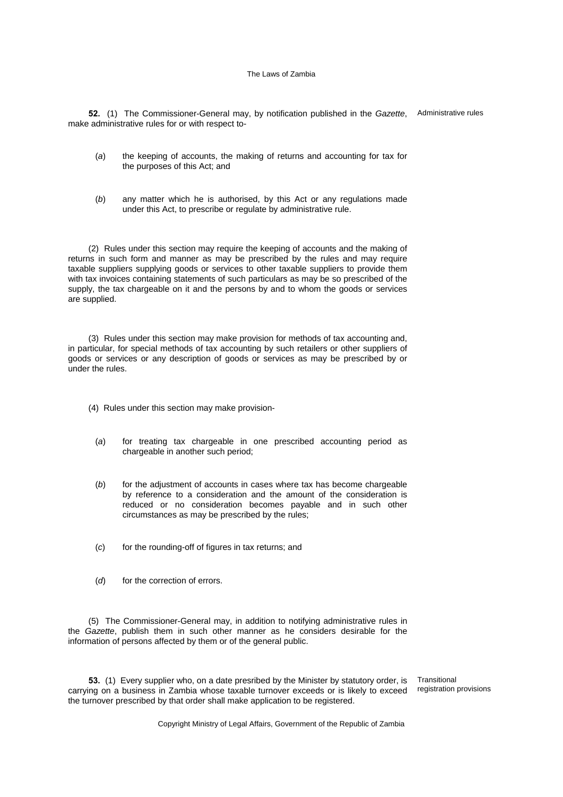**52.** (1) The Commissioner-General may, by notification published in the *Gazette*, Administrative rules make administrative rules for or with respect to-

- (*a*) the keeping of accounts, the making of returns and accounting for tax for the purposes of this Act; and
- (*b*) any matter which he is authorised, by this Act or any regulations made under this Act, to prescribe or regulate by administrative rule.

(2) Rules under this section may require the keeping of accounts and the making of returns in such form and manner as may be prescribed by the rules and may require taxable suppliers supplying goods or services to other taxable suppliers to provide them with tax invoices containing statements of such particulars as may be so prescribed of the supply, the tax chargeable on it and the persons by and to whom the goods or services are supplied.

(3) Rules under this section may make provision for methods of tax accounting and, in particular, for special methods of tax accounting by such retailers or other suppliers of goods or services or any description of goods or services as may be prescribed by or under the rules.

- (4) Rules under this section may make provision-
	- (*a*) for treating tax chargeable in one prescribed accounting period as chargeable in another such period;
	- (*b*) for the adjustment of accounts in cases where tax has become chargeable by reference to a consideration and the amount of the consideration is reduced or no consideration becomes payable and in such other circumstances as may be prescribed by the rules;
	- (*c*) for the rounding-off of figures in tax returns; and
	- (*d*) for the correction of errors.

(5) The Commissioner-General may, in addition to notifying administrative rules in the *Gazette*, publish them in such other manner as he considers desirable for the information of persons affected by them or of the general public.

**53.** (1) Every supplier who, on a date presribed by the Minister by statutory order, is carrying on a business in Zambia whose taxable turnover exceeds or is likely to exceed the turnover prescribed by that order shall make application to be registered.

**Transitional** registration provisions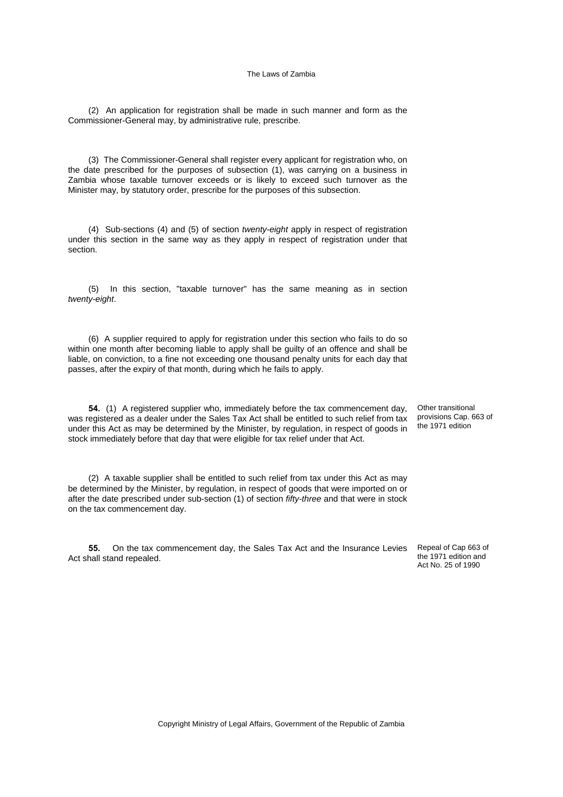(2) An application for registration shall be made in such manner and form as the Commissioner-General may, by administrative rule, prescribe.

(3) The Commissioner-General shall register every applicant for registration who, on the date prescribed for the purposes of subsection (1), was carrying on a business in Zambia whose taxable turnover exceeds or is likely to exceed such turnover as the Minister may, by statutory order, prescribe for the purposes of this subsection.

(4) Sub-sections (4) and (5) of section *twenty-eight* apply in respect of registration under this section in the same way as they apply in respect of registration under that section.

(5) In this section, "taxable turnover" has the same meaning as in section *twenty-eight*.

(6) A supplier required to apply for registration under this section who fails to do so within one month after becoming liable to apply shall be guilty of an offence and shall be liable, on conviction, to a fine not exceeding one thousand penalty units for each day that passes, after the expiry of that month, during which he fails to apply.

**54.** (1) A registered supplier who, immediately before the tax commencement day, was registered as a dealer under the Sales Tax Act shall be entitled to such relief from tax under this Act as may be determined by the Minister, by regulation, in respect of goods in stock immediately before that day that were eligible for tax relief under that Act.

(2) A taxable supplier shall be entitled to such relief from tax under this Act as may be determined by the Minister, by regulation, in respect of goods that were imported on or after the date prescribed under sub-section (1) of section *fifty-three* and that were in stock on the tax commencement day.

**55.** On the tax commencement day, the Sales Tax Act and the Insurance Levies Act shall stand repealed.

Other transitional provisions Cap. 663 of the 1971 edition

Repeal of Cap 663 of the 1971 edition and Act No. 25 of 1990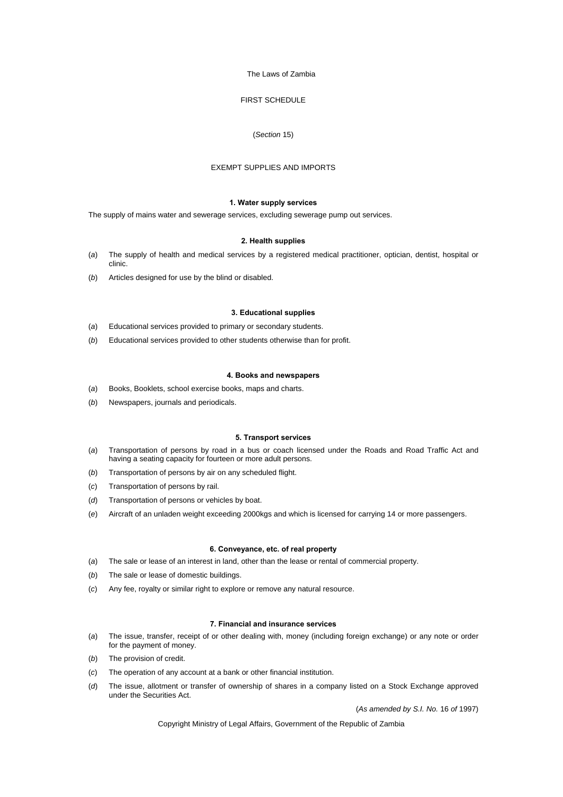## FIRST SCHEDULE

### (*Section* 15)

#### EXEMPT SUPPLIES AND IMPORTS

### **1. Water supply services**

The supply of mains water and sewerage services, excluding sewerage pump out services.

#### **2. Health supplies**

- (*a*) The supply of health and medical services by a registered medical practitioner, optician, dentist, hospital or clinic.
- (*b*) Articles designed for use by the blind or disabled.

#### **3. Educational supplies**

- (*a*) Educational services provided to primary or secondary students.
- (*b*) Educational services provided to other students otherwise than for profit.

#### **4. Books and newspapers**

- (*a*) Books, Booklets, school exercise books, maps and charts.
- (*b*) Newspapers, journals and periodicals.

#### **5. Transport services**

- (*a*) Transportation of persons by road in a bus or coach licensed under the Roads and Road Traffic Act and having a seating capacity for fourteen or more adult persons.
- (*b*) Transportation of persons by air on any scheduled flight.
- (*c*) Transportation of persons by rail.
- (*d*) Transportation of persons or vehicles by boat.
- (*e*) Aircraft of an unladen weight exceeding 2000kgs and which is licensed for carrying 14 or more passengers.

#### **6. Conveyance, etc. of real property**

- (*a*) The sale or lease of an interest in land, other than the lease or rental of commercial property.
- (*b*) The sale or lease of domestic buildings.
- (*c*) Any fee, royalty or similar right to explore or remove any natural resource.

#### **7. Financial and insurance services**

- (*a*) The issue, transfer, receipt of or other dealing with, money (including foreign exchange) or any note or order for the payment of money.
- (*b*) The provision of credit.
- (*c*) The operation of any account at a bank or other financial institution.
- (*d*) The issue, allotment or transfer of ownership of shares in a company listed on a Stock Exchange approved under the Securities Act.

(*As amended by S.I. No.* 16 *of* 1997)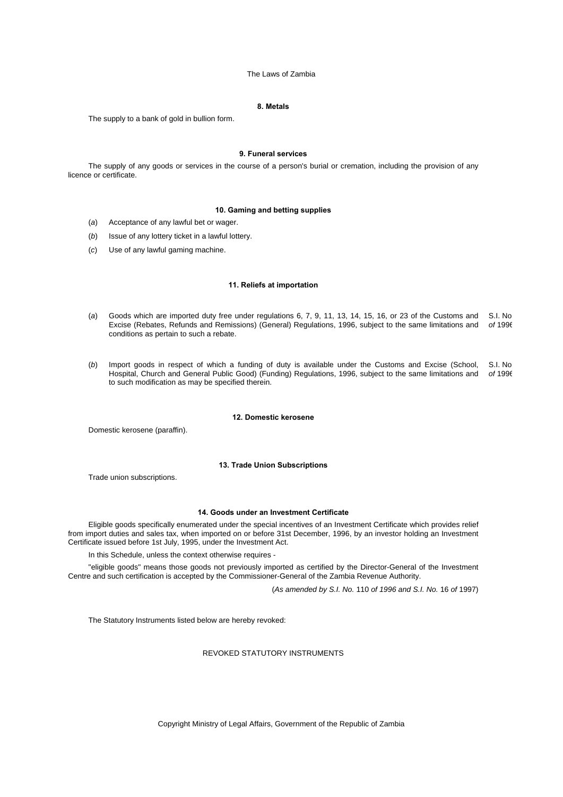### **8. Metals**

The supply to a bank of gold in bullion form.

#### **9. Funeral services**

The supply of any goods or services in the course of a person's burial or cremation, including the provision of any licence or certificate.

#### **10. Gaming and betting supplies**

- (*a*) Acceptance of any lawful bet or wager.
- (*b*) Issue of any lottery ticket in a lawful lottery.
- (*c*) Use of any lawful gaming machine.

### **11. Reliefs at importation**

- (a) Goods which are imported duty free under regulations 6, 7, 9, 11, 13, 14, 15, 16, or 23 of the Customs and S.I. No Excise (Rebates, Refunds and Remissions) (General) Regulations, 1996, subject to the same limitations and *of* 1996 conditions as pertain to such a rebate.
- (*b*) Import goods in respect of which a funding of duty is available under the Customs and Excise (School, Hospital, Church and General Public Good) (Funding) Regulations, 1996, subject to the same limitations and to such modification as may be specified therein. S.I. No *of* 1996

#### **12. Domestic kerosene**

Domestic kerosene (paraffin).

### **13. Trade Union Subscriptions**

Trade union subscriptions.

### **14. Goods under an Investment Certificate**

Eligible goods specifically enumerated under the special incentives of an Investment Certificate which provides relief from import duties and sales tax, when imported on or before 31st December, 1996, by an investor holding an Investment Certificate issued before 1st July, 1995, under the Investment Act.

In this Schedule, unless the context otherwise requires -

"eligible goods" means those goods not previously imported as certified by the Director-General of the Investment Centre and such certification is accepted by the Commissioner-General of the Zambia Revenue Authority.

(*As amended by S.I. No.* 110 *of 1996 and S.I. No.* 16 *of* 1997)

The Statutory Instruments listed below are hereby revoked:

#### REVOKED STATUTORY INSTRUMENTS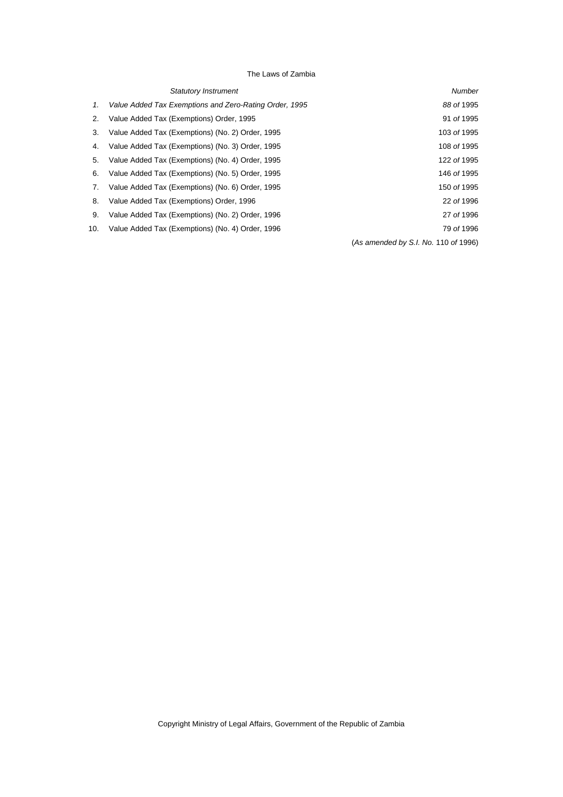|     | <b>Statutory Instrument</b>                            | <b>Number</b>                        |
|-----|--------------------------------------------------------|--------------------------------------|
| 1.  | Value Added Tax Exemptions and Zero-Rating Order, 1995 | 88 of 1995                           |
| 2.  | Value Added Tax (Exemptions) Order, 1995               | 91 of 1995                           |
| 3.  | Value Added Tax (Exemptions) (No. 2) Order, 1995       | 103 of 1995                          |
| 4.  | Value Added Tax (Exemptions) (No. 3) Order, 1995       | 108 of 1995                          |
| 5.  | Value Added Tax (Exemptions) (No. 4) Order, 1995       | 122 of 1995                          |
| 6.  | Value Added Tax (Exemptions) (No. 5) Order, 1995       | 146 of 1995                          |
| 7.  | Value Added Tax (Exemptions) (No. 6) Order, 1995       | 150 of 1995                          |
| 8.  | Value Added Tax (Exemptions) Order, 1996               | 22 of 1996                           |
| 9.  | Value Added Tax (Exemptions) (No. 2) Order, 1996       | 27 of 1996                           |
| 10. | Value Added Tax (Exemptions) (No. 4) Order, 1996       | 79 of 1996                           |
|     |                                                        | (As amended by S.I. No. 110 of 1996) |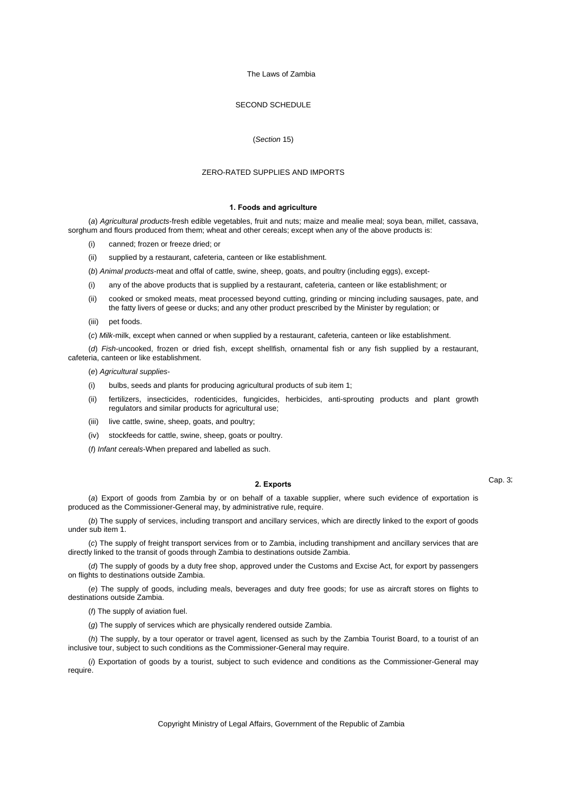### SECOND SCHEDULE

#### (*Section* 15)

### ZERO-RATED SUPPLIES AND IMPORTS

#### **1. Foods and agriculture**

(*a*) *Agricultural products*-fresh edible vegetables, fruit and nuts; maize and mealie meal; soya bean, millet, cassava, sorghum and flours produced from them; wheat and other cereals; except when any of the above products is:

- canned; frozen or freeze dried; or
- (ii) supplied by a restaurant, cafeteria, canteen or like establishment.

(*b*) *Animal products*-meat and offal of cattle, swine, sheep, goats, and poultry (including eggs), except-

- (i) any of the above products that is supplied by a restaurant, cafeteria, canteen or like establishment; or
- (ii) cooked or smoked meats, meat processed beyond cutting, grinding or mincing including sausages, pate, and the fatty livers of geese or ducks; and any other product prescribed by the Minister by regulation; or
- (iii) pet foods.
- (*c*) *Milk*-milk, except when canned or when supplied by a restaurant, cafeteria, canteen or like establishment.

(*d*) *Fish*-uncooked, frozen or dried fish, except shellfish, ornamental fish or any fish supplied by a restaurant, cafeteria, canteen or like establishment.

(*e*) *Agricultural supplies*-

- (i) bulbs, seeds and plants for producing agricultural products of sub item 1;
- (ii) fertilizers, insecticides, rodenticides, fungicides, herbicides, anti-sprouting products and plant growth regulators and similar products for agricultural use;
- (iii) live cattle, swine, sheep, goats, and poultry;
- (iv) stockfeeds for cattle, swine, sheep, goats or poultry.
- (*f*) *Infant cereals*-When prepared and labelled as such.

### **2. Exports**

(*a*) Export of goods from Zambia by or on behalf of a taxable supplier, where such evidence of exportation is produced as the Commissioner-General may, by administrative rule, require.

(*b*) The supply of services, including transport and ancillary services, which are directly linked to the export of goods under sub item 1.

(*c*) The supply of freight transport services from or to Zambia, including transhipment and ancillary services that are directly linked to the transit of goods through Zambia to destinations outside Zambia.

(*d*) The supply of goods by a duty free shop, approved under the Customs and Excise Act, for export by passengers on flights to destinations outside Zambia.

(*e*) The supply of goods, including meals, beverages and duty free goods; for use as aircraft stores on flights to destinations outside Zambia.

(*f*) The supply of aviation fuel.

(*g*) The supply of services which are physically rendered outside Zambia.

(*h*) The supply, by a tour operator or travel agent, licensed as such by the Zambia Tourist Board, to a tourist of an inclusive tour, subject to such conditions as the Commissioner-General may require.

(*i*) Exportation of goods by a tourist, subject to such evidence and conditions as the Commissioner-General may require.

Cap. 32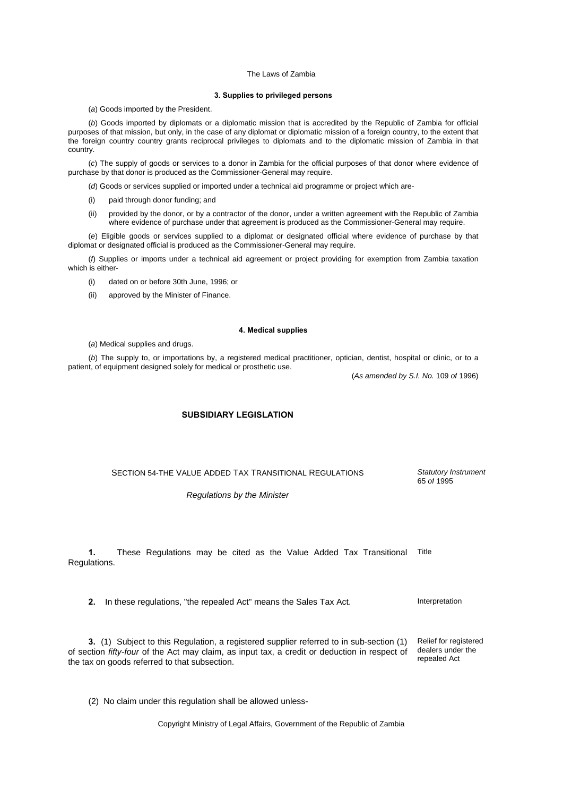#### **3. Supplies to privileged persons**

(*a*) Goods imported by the President.

(*b*) Goods imported by diplomats or a diplomatic mission that is accredited by the Republic of Zambia for official purposes of that mission, but only, in the case of any diplomat or diplomatic mission of a foreign country, to the extent that the foreign country country grants reciprocal privileges to diplomats and to the diplomatic mission of Zambia in that country.

(*c*) The supply of goods or services to a donor in Zambia for the official purposes of that donor where evidence of purchase by that donor is produced as the Commissioner-General may require.

(*d*) Goods or services supplied or imported under a technical aid programme or project which are-

- (i) paid through donor funding; and
- (ii) provided by the donor, or by a contractor of the donor, under a written agreement with the Republic of Zambia where evidence of purchase under that agreement is produced as the Commissioner-General may require.

(*e*) Eligible goods or services supplied to a diplomat or designated official where evidence of purchase by that diplomat or designated official is produced as the Commissioner-General may require.

(*f*) Supplies or imports under a technical aid agreement or project providing for exemption from Zambia taxation which is either-

- (i) dated on or before 30th June, 1996; or
- (ii) approved by the Minister of Finance.

#### **4. Medical supplies**

(*a*) Medical supplies and drugs.

(*b*) The supply to, or importations by, a registered medical practitioner, optician, dentist, hospital or clinic, or to a patient, of equipment designed solely for medical or prosthetic use.

(*As amended by S.I. No.* 109 *of* 1996)

### **SUBSIDIARY LEGISLATION**

SECTION 54-THE VALUE ADDED TAX TRANSITIONAL REGULATIONS

*Statutory Instrument* 65 *of* 1995

*Regulations by the Minister* 

**1.** These Regulations may be cited as the Value Added Tax Transitional Title Regulations.

**2.** In these regulations, "the repealed Act" means the Sales Tax Act. Interpretation

**3.** (1) Subject to this Regulation, a registered supplier referred to in sub-section (1) of section *fifty-four* of the Act may claim, as input tax, a credit or deduction in respect of the tax on goods referred to that subsection.

Relief for registered dealers under the repealed Act

(2) No claim under this regulation shall be allowed unless-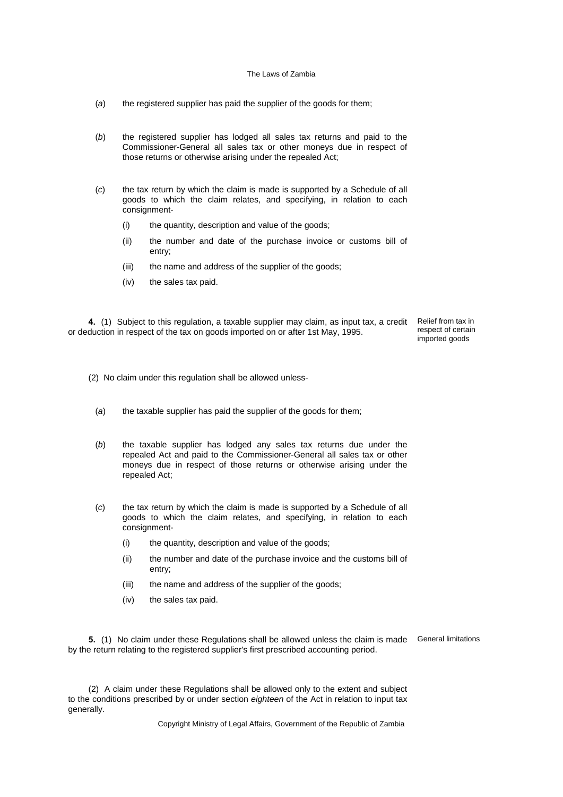- (*a*) the registered supplier has paid the supplier of the goods for them;
- (*b*) the registered supplier has lodged all sales tax returns and paid to the Commissioner-General all sales tax or other moneys due in respect of those returns or otherwise arising under the repealed Act;
- (*c*) the tax return by which the claim is made is supported by a Schedule of all goods to which the claim relates, and specifying, in relation to each consignment-
	- (i) the quantity, description and value of the goods;
	- (ii) the number and date of the purchase invoice or customs bill of entry;
	- (iii) the name and address of the supplier of the goods;
	- (iv) the sales tax paid.

**4.** (1) Subject to this regulation, a taxable supplier may claim, as input tax, a credit or deduction in respect of the tax on goods imported on or after 1st May, 1995.

Relief from tax in respect of certain imported goods

(2) No claim under this regulation shall be allowed unless-

- (*a*) the taxable supplier has paid the supplier of the goods for them;
- (*b*) the taxable supplier has lodged any sales tax returns due under the repealed Act and paid to the Commissioner-General all sales tax or other moneys due in respect of those returns or otherwise arising under the repealed Act;
- (*c*) the tax return by which the claim is made is supported by a Schedule of all goods to which the claim relates, and specifying, in relation to each consignment-
	- (i) the quantity, description and value of the goods;
	- (ii) the number and date of the purchase invoice and the customs bill of entry;
	- (iii) the name and address of the supplier of the goods;
	- (iv) the sales tax paid.

**5.** (1) No claim under these Regulations shall be allowed unless the claim is made General limitations by the return relating to the registered supplier's first prescribed accounting period.

(2) A claim under these Regulations shall be allowed only to the extent and subject to the conditions prescribed by or under section *eighteen* of the Act in relation to input tax generally.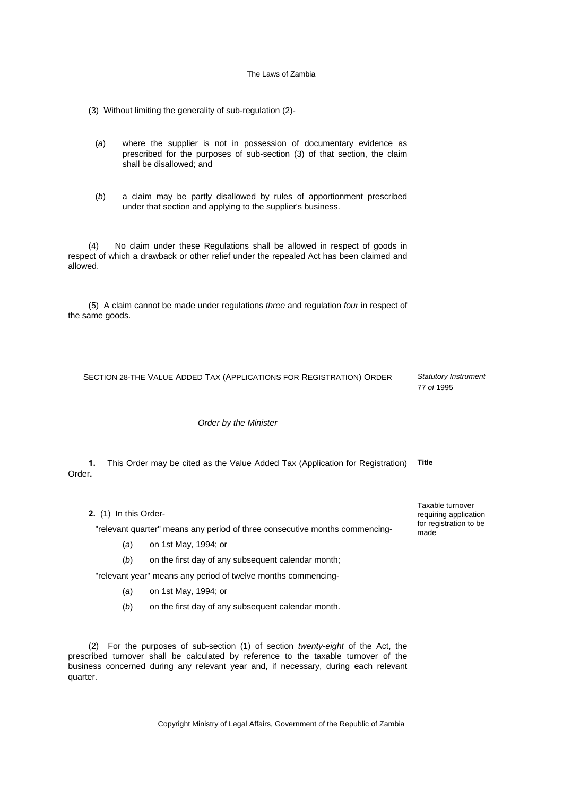(3) Without limiting the generality of sub-regulation (2)-

- (*a*) where the supplier is not in possession of documentary evidence as prescribed for the purposes of sub-section (3) of that section, the claim shall be disallowed; and
- (*b*) a claim may be partly disallowed by rules of apportionment prescribed under that section and applying to the supplier's business.

(4) No claim under these Regulations shall be allowed in respect of goods in respect of which a drawback or other relief under the repealed Act has been claimed and allowed.

(5) A claim cannot be made under regulations *three* and regulation *four* in respect of the same goods.

SECTION 28-THE VALUE ADDED TAX (APPLICATIONS FOR REGISTRATION) ORDER *Statutory Instrument*

*Order by the Minister*

**1.** This Order may be cited as the Value Added Tax (Application for Registration) **Title** Order**.**

**2.** (1) In this Order-

"relevant quarter" means any period of three consecutive months commencing-

- (*a*) on 1st May, 1994; or
- (*b*) on the first day of any subsequent calendar month;

"relevant year" means any period of twelve months commencing-

- (*a*) on 1st May, 1994; or
- (*b*) on the first day of any subsequent calendar month.

(2) For the purposes of sub-section (1) of section *twenty-eight* of the Act, the prescribed turnover shall be calculated by reference to the taxable turnover of the business concerned during any relevant year and, if necessary, during each relevant quarter.

Copyright Ministry of Legal Affairs, Government of the Republic of Zambia

Taxable turnover requiring application for registration to be made

77 *of* 1995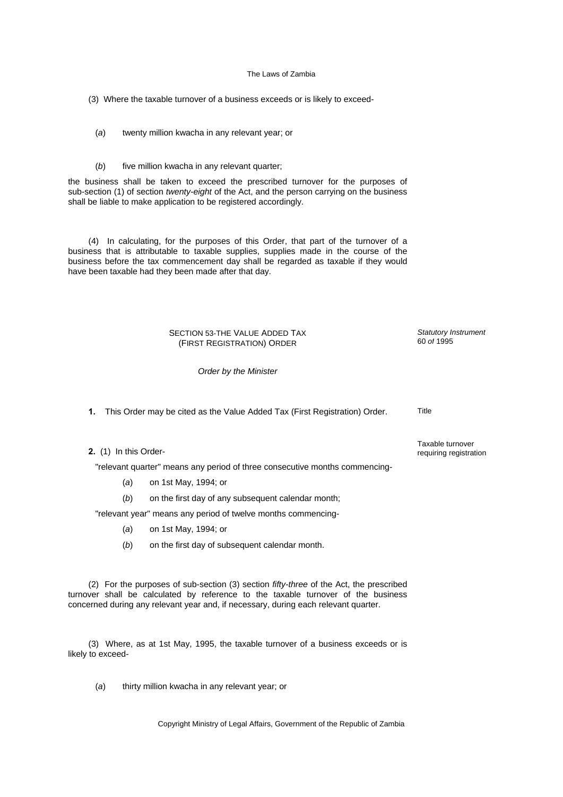- (3) Where the taxable turnover of a business exceeds or is likely to exceed-
	- (*a*) twenty million kwacha in any relevant year; or
	- (b) five million kwacha in any relevant quarter;

the business shall be taken to exceed the prescribed turnover for the purposes of sub-section (1) of section *twenty-eight* of the Act, and the person carrying on the business shall be liable to make application to be registered accordingly.

(4) In calculating, for the purposes of this Order, that part of the turnover of a business that is attributable to taxable supplies, supplies made in the course of the business before the tax commencement day shall be regarded as taxable if they would have been taxable had they been made after that day.

### SECTION 53-THE VALUE ADDED TAX (FIRST REGISTRATION) ORDER

*Order by the Minister*

**1.** This Order may be cited as the Value Added Tax (First Registration) Order. Title

**2.** (1) In this Order-

"relevant quarter" means any period of three consecutive months commencing-

- (*a*) on 1st May, 1994; or
- (*b*) on the first day of any subsequent calendar month;

"relevant year" means any period of twelve months commencing-

- (*a*) on 1st May, 1994; or
- (*b*) on the first day of subsequent calendar month.

(2) For the purposes of sub-section (3) section *fifty-three* of the Act, the prescribed turnover shall be calculated by reference to the taxable turnover of the business concerned during any relevant year and, if necessary, during each relevant quarter.

(3) Where, as at 1st May, 1995, the taxable turnover of a business exceeds or is likely to exceed-

(*a*) thirty million kwacha in any relevant year; or

Taxable turnover requiring registration

*Statutory Instrument* 60 *of* 1995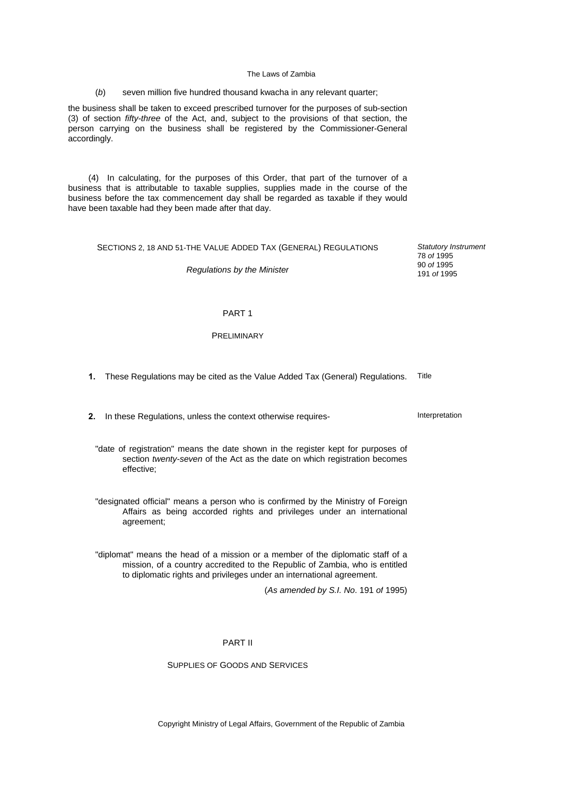#### (*b*) seven million five hundred thousand kwacha in any relevant quarter;

the business shall be taken to exceed prescribed turnover for the purposes of sub-section (3) of section *fifty-three* of the Act, and, subject to the provisions of that section, the person carrying on the business shall be registered by the Commissioner-General accordingly.

(4) In calculating, for the purposes of this Order, that part of the turnover of a business that is attributable to taxable supplies, supplies made in the course of the business before the tax commencement day shall be regarded as taxable if they would have been taxable had they been made after that day.

## SECTIONS 2, 18 AND 51-THE VALUE ADDED TAX (GENERAL) REGULATIONS

*Regulations by the Minister*

*Statutory Instrument* 78 *of* 1995 90 *of* 1995 191 *of* 1995

### PART 1

## PRELIMINARY

**1.** These Regulations may be cited as the Value Added Tax (General) Regulations. Title

**2.** In these Regulations, unless the context otherwise requires-<br>Interpretation

"date of registration" means the date shown in the register kept for purposes of section *twenty-seven* of the Act as the date on which registration becomes effective;

"designated official" means a person who is confirmed by the Ministry of Foreign Affairs as being accorded rights and privileges under an international agreement;

"diplomat" means the head of a mission or a member of the diplomatic staff of a mission, of a country accredited to the Republic of Zambia, who is entitled to diplomatic rights and privileges under an international agreement.

(*As amended by S.I. No*. 191 *of* 1995)

### PART II

### SUPPLIES OF GOODS AND SERVICES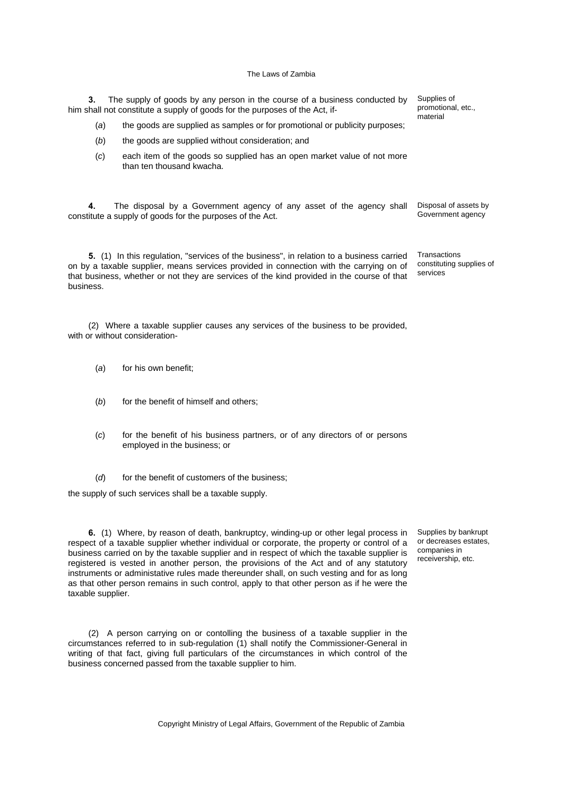**3.** The supply of goods by any person in the course of a business conducted by him shall not constitute a supply of goods for the purposes of the Act, if-

- (*a*) the goods are supplied as samples or for promotional or publicity purposes;
- (*b*) the goods are supplied without consideration; and
- (*c*) each item of the goods so supplied has an open market value of not more than ten thousand kwacha.

**4.** The disposal by a Government agency of any asset of the agency shall constitute a supply of goods for the purposes of the Act.

**5.** (1) In this regulation, "services of the business", in relation to a business carried on by a taxable supplier, means services provided in connection with the carrying on of that business, whether or not they are services of the kind provided in the course of that business.

(2) Where a taxable supplier causes any services of the business to be provided, with or without consideration-

- (*a*) for his own benefit;
- (b) for the benefit of himself and others:
- (*c*) for the benefit of his business partners, or of any directors of or persons employed in the business; or
- (*d*) for the benefit of customers of the business;

the supply of such services shall be a taxable supply.

**6.** (1) Where, by reason of death, bankruptcy, winding-up or other legal process in respect of a taxable supplier whether individual or corporate, the property or control of a business carried on by the taxable supplier and in respect of which the taxable supplier is registered is vested in another person, the provisions of the Act and of any statutory instruments or administative rules made thereunder shall, on such vesting and for as long as that other person remains in such control, apply to that other person as if he were the taxable supplier.

(2) A person carrying on or contolling the business of a taxable supplier in the circumstances referred to in sub-regulation (1) shall notify the Commissioner-General in writing of that fact, giving full particulars of the circumstances in which control of the business concerned passed from the taxable supplier to him.

Supplies by bankrupt or decreases estates, companies in receivership, etc.

promotional, etc., material

Supplies of

Disposal of assets by Government agency

**Transactions** constituting supplies of services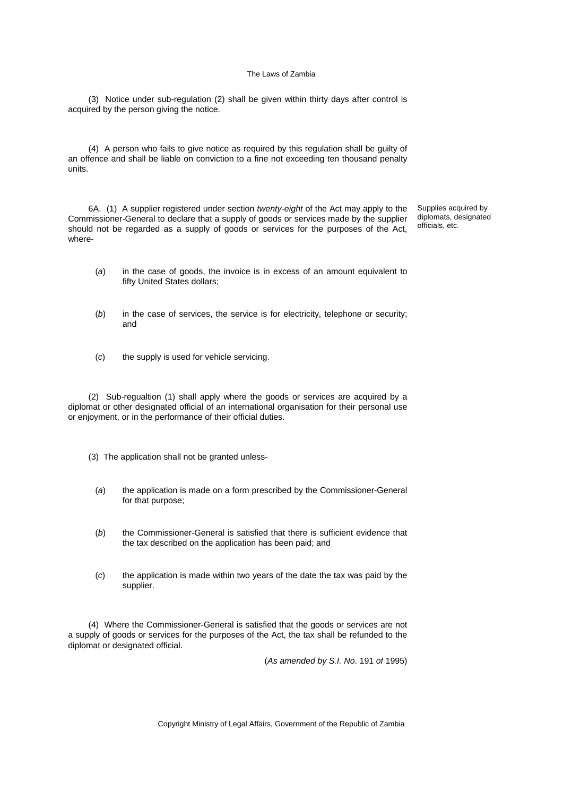(3) Notice under sub-regulation (2) shall be given within thirty days after control is acquired by the person giving the notice.

(4) A person who fails to give notice as required by this regulation shall be guilty of an offence and shall be liable on conviction to a fine not exceeding ten thousand penalty units.

6A. (1) A supplier registered under section *twenty-eight* of the Act may apply to the Commissioner-General to declare that a supply of goods or services made by the supplier should not be regarded as a supply of goods or services for the purposes of the Act, where-

Supplies acquired by diplomats, designated officials, etc.

- (*a*) in the case of goods, the invoice is in excess of an amount equivalent to fifty United States dollars;
- (*b*) in the case of services, the service is for electricity, telephone or security; and
- (*c*) the supply is used for vehicle servicing.

(2) Sub-regualtion (1) shall apply where the goods or services are acquired by a diplomat or other designated official of an international organisation for their personal use or enjoyment, or in the performance of their official duties.

- (3) The application shall not be granted unless-
	- (*a*) the application is made on a form prescribed by the Commissioner-General for that purpose;
	- (*b*) the Commissioner-General is satisfied that there is sufficient evidence that the tax described on the application has been paid; and
	- (*c*) the application is made within two years of the date the tax was paid by the supplier.

(4) Where the Commissioner-General is satisfied that the goods or services are not a supply of goods or services for the purposes of the Act, the tax shall be refunded to the diplomat or designated official.

(*As amended by S.I. No*. 191 *of* 1995)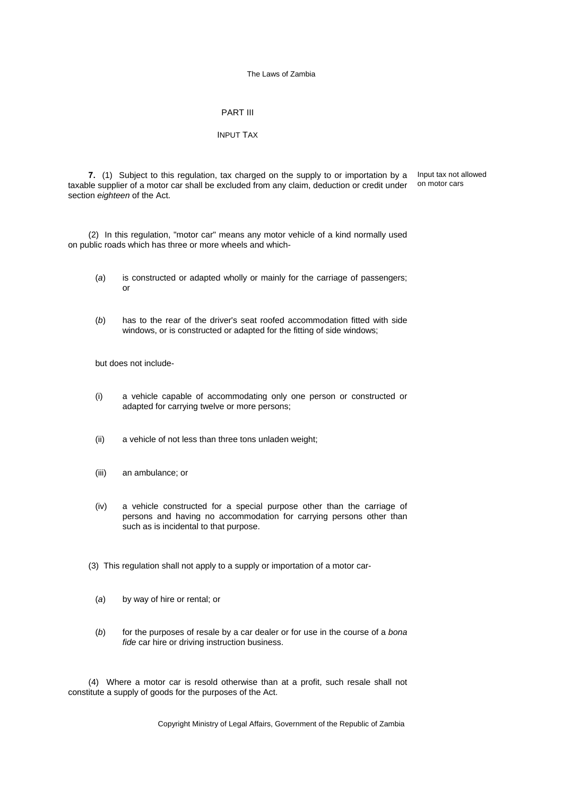## PART III

### INPUT TAX

**7.** (1) Subject to this regulation, tax charged on the supply to or importation by a taxable supplier of a motor car shall be excluded from any claim, deduction or credit under section *eighteen* of the Act.

Input tax not allowed on motor cars

(2) In this regulation, "motor car" means any motor vehicle of a kind normally used on public roads which has three or more wheels and which-

- (*a*) is constructed or adapted wholly or mainly for the carriage of passengers; or
- (*b*) has to the rear of the driver's seat roofed accommodation fitted with side windows, or is constructed or adapted for the fitting of side windows;

but does not include-

- (i) a vehicle capable of accommodating only one person or constructed or adapted for carrying twelve or more persons;
- (ii) a vehicle of not less than three tons unladen weight;
- (iii) an ambulance; or
- (iv) a vehicle constructed for a special purpose other than the carriage of persons and having no accommodation for carrying persons other than such as is incidental to that purpose.
- (3) This regulation shall not apply to a supply or importation of a motor car-
	- (*a*) by way of hire or rental; or
	- (*b*) for the purposes of resale by a car dealer or for use in the course of a *bona fide* car hire or driving instruction business.

(4) Where a motor car is resold otherwise than at a profit, such resale shall not constitute a supply of goods for the purposes of the Act.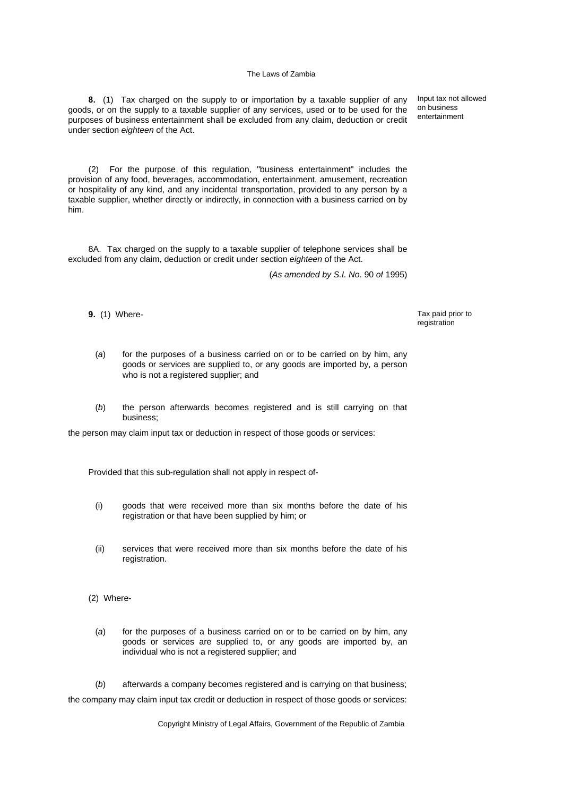**8.** (1) Tax charged on the supply to or importation by a taxable supplier of any goods, or on the supply to a taxable supplier of any services, used or to be used for the purposes of business entertainment shall be excluded from any claim, deduction or credit under section *eighteen* of the Act.

Input tax not allowed on business entertainment

(2) For the purpose of this regulation, "business entertainment" includes the provision of any food, beverages, accommodation, entertainment, amusement, recreation or hospitality of any kind, and any incidental transportation, provided to any person by a taxable supplier, whether directly or indirectly, in connection with a business carried on by him.

8A. Tax charged on the supply to a taxable supplier of telephone services shall be excluded from any claim, deduction or credit under section *eighteen* of the Act.

(*As amended by S.I. No*. 90 *of* 1995)

**9.** (1) Where- Tax paid prior to  $\overline{a}$ 

registration

- (*a*) for the purposes of a business carried on or to be carried on by him, any goods or services are supplied to, or any goods are imported by, a person who is not a registered supplier; and
- (*b*) the person afterwards becomes registered and is still carrying on that business;

the person may claim input tax or deduction in respect of those goods or services:

Provided that this sub-regulation shall not apply in respect of-

- (i) goods that were received more than six months before the date of his registration or that have been supplied by him; or
- (ii) services that were received more than six months before the date of his registration.
- (2) Where-
	- (*a*) for the purposes of a business carried on or to be carried on by him, any goods or services are supplied to, or any goods are imported by, an individual who is not a registered supplier; and

(*b*) afterwards a company becomes registered and is carrying on that business; the company may claim input tax credit or deduction in respect of those goods or services: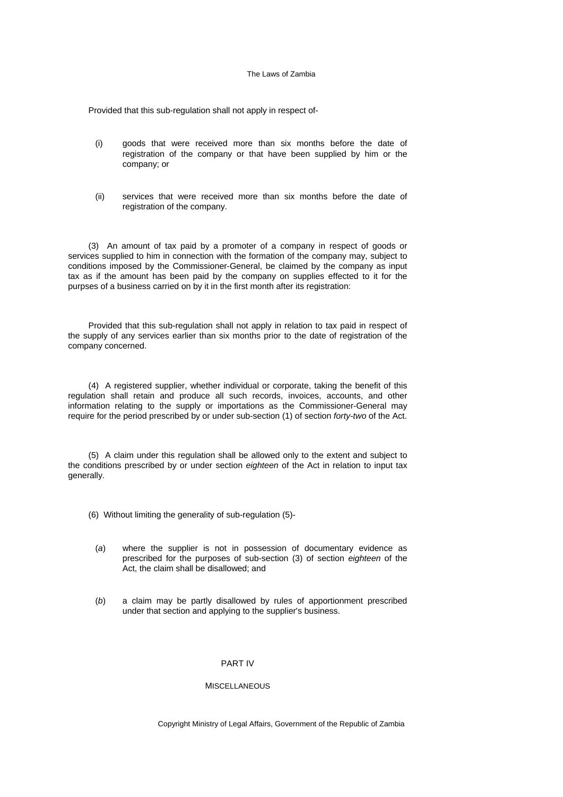Provided that this sub-regulation shall not apply in respect of-

- (i) goods that were received more than six months before the date of registration of the company or that have been supplied by him or the company; or
- (ii) services that were received more than six months before the date of registration of the company.

(3) An amount of tax paid by a promoter of a company in respect of goods or services supplied to him in connection with the formation of the company may, subject to conditions imposed by the Commissioner-General, be claimed by the company as input tax as if the amount has been paid by the company on supplies effected to it for the purpses of a business carried on by it in the first month after its registration:

Provided that this sub-regulation shall not apply in relation to tax paid in respect of the supply of any services earlier than six months prior to the date of registration of the company concerned.

(4) A registered supplier, whether individual or corporate, taking the benefit of this regulation shall retain and produce all such records, invoices, accounts, and other information relating to the supply or importations as the Commissioner-General may require for the period prescribed by or under sub-section (1) of section *forty-two* of the Act.

(5) A claim under this regulation shall be allowed only to the extent and subject to the conditions prescribed by or under section *eighteen* of the Act in relation to input tax generally.

- (6) Without limiting the generality of sub-regulation (5)-
	- (*a*) where the supplier is not in possession of documentary evidence as prescribed for the purposes of sub-section (3) of section *eighteen* of the Act, the claim shall be disallowed; and
	- (*b*) a claim may be partly disallowed by rules of apportionment prescribed under that section and applying to the supplier's business.

#### PART IV

### MISCELLANEOUS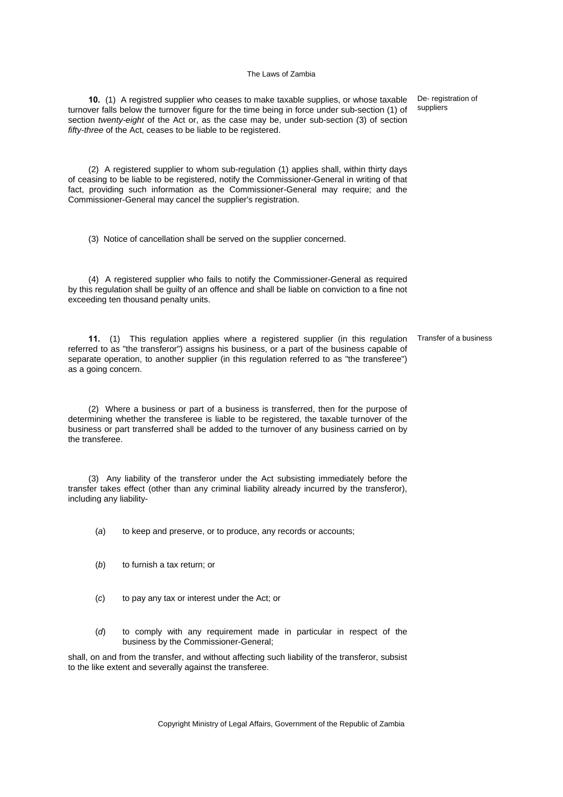**10.** (1) A registred supplier who ceases to make taxable supplies, or whose taxable turnover falls below the turnover figure for the time being in force under sub-section (1) of section *twenty-eight* of the Act or, as the case may be, under sub-section (3) of section *fifty-three* of the Act, ceases to be liable to be registered.

(2) A registered supplier to whom sub-regulation (1) applies shall, within thirty days of ceasing to be liable to be registered, notify the Commissioner-General in writing of that fact, providing such information as the Commissioner-General may require; and the Commissioner-General may cancel the supplier's registration.

(3) Notice of cancellation shall be served on the supplier concerned.

(4) A registered supplier who fails to notify the Commissioner-General as required by this regulation shall be guilty of an offence and shall be liable on conviction to a fine not exceeding ten thousand penalty units.

**11.** (1) This regulation applies where a registered supplier (in this regulation referred to as "the transferor") assigns his business, or a part of the business capable of separate operation, to another supplier (in this regulation referred to as "the transferee") as a going concern. Transfer of a business

(2) Where a business or part of a business is transferred, then for the purpose of determining whether the transferee is liable to be registered, the taxable turnover of the business or part transferred shall be added to the turnover of any business carried on by the transferee.

(3) Any liability of the transferor under the Act subsisting immediately before the transfer takes effect (other than any criminal liability already incurred by the transferor), including any liability-

(*a*) to keep and preserve, or to produce, any records or accounts;

- (*b*) to furnish a tax return; or
- (*c*) to pay any tax or interest under the Act; or
- (*d*) to comply with any requirement made in particular in respect of the business by the Commissioner-General;

shall, on and from the transfer, and without affecting such liability of the transferor, subsist to the like extent and severally against the transferee.

De- registration of suppliers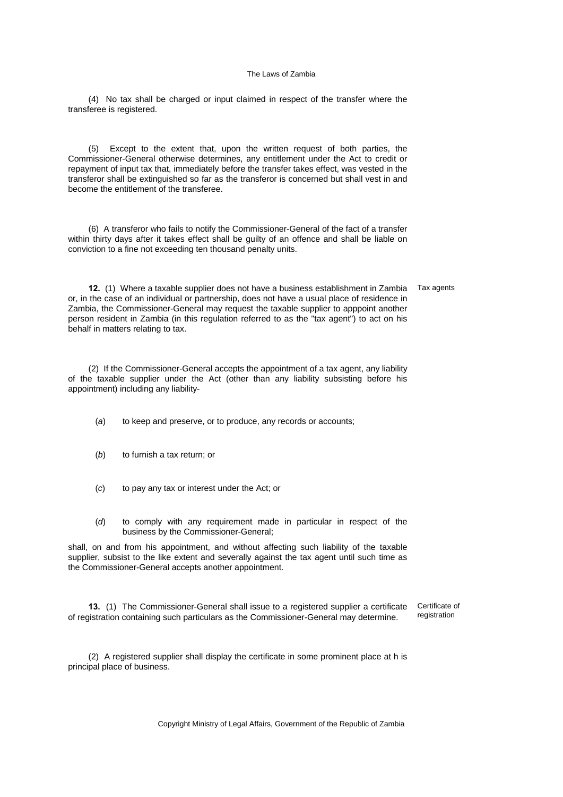(4) No tax shall be charged or input claimed in respect of the transfer where the transferee is registered.

(5) Except to the extent that, upon the written request of both parties, the Commissioner-General otherwise determines, any entitlement under the Act to credit or repayment of input tax that, immediately before the transfer takes effect, was vested in the transferor shall be extinguished so far as the transferor is concerned but shall vest in and become the entitlement of the transferee.

(6) A transferor who fails to notify the Commissioner-General of the fact of a transfer within thirty days after it takes effect shall be guilty of an offence and shall be liable on conviction to a fine not exceeding ten thousand penalty units.

**12.** (1) Where a taxable supplier does not have a business establishment in Zambia Tax agents or, in the case of an individual or partnership, does not have a usual place of residence in Zambia, the Commissioner-General may request the taxable supplier to apppoint another person resident in Zambia (in this regulation referred to as the "tax agent") to act on his behalf in matters relating to tax.

(2) If the Commissioner-General accepts the appointment of a tax agent, any liability of the taxable supplier under the Act (other than any liability subsisting before his appointment) including any liability-

- (*a*) to keep and preserve, or to produce, any records or accounts;
- (*b*) to furnish a tax return; or
- (*c*) to pay any tax or interest under the Act; or
- (*d*) to comply with any requirement made in particular in respect of the business by the Commissioner-General;

shall, on and from his appointment, and without affecting such liability of the taxable supplier, subsist to the like extent and severally against the tax agent until such time as the Commissioner-General accepts another appointment.

**13.** (1) The Commissioner-General shall issue to a registered supplier a certificate of registration containing such particulars as the Commissioner-General may determine. Certificate of registration

(2) A registered supplier shall display the certificate in some prominent place at h is principal place of business.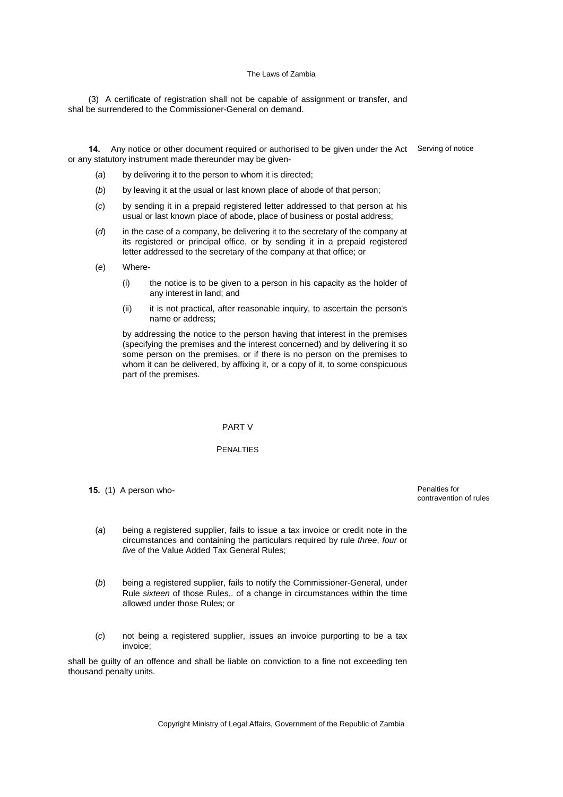(3) A certificate of registration shall not be capable of assignment or transfer, and shal be surrendered to the Commissioner-General on demand.

14. Any notice or other document required or authorised to be given under the Act Serving of notice or any statutory instrument made thereunder may be given-

- (*a*) by delivering it to the person to whom it is directed;
- (*b*) by leaving it at the usual or last known place of abode of that person;
- (*c*) by sending it in a prepaid registered letter addressed to that person at his usual or last known place of abode, place of business or postal address;
- (*d*) in the case of a company, be delivering it to the secretary of the company at its registered or principal office, or by sending it in a prepaid registered letter addressed to the secretary of the company at that office; or
- (*e*) Where-
	- (i) the notice is to be given to a person in his capacity as the holder of any interest in land; and
	- (ii) it is not practical, after reasonable inquiry, to ascertain the person's name or address;

 by addressing the notice to the person having that interest in the premises (specifying the premises and the interest concerned) and by delivering it so some person on the premises, or if there is no person on the premises to whom it can be delivered, by affixing it, or a copy of it, to some conspicuous part of the premises.

#### PART V

## PENALTIES

**15.** (1) A person who-<br> **15.** (1) A person who-

contravention of rules

- (*a*) being a registered supplier, fails to issue a tax invoice or credit note in the circumstances and containing the particulars required by rule *three*, *four* or *five* of the Value Added Tax General Rules;
- (*b*) being a registered supplier, fails to notify the Commissioner-General, under Rule *sixteen* of those Rules,. of a change in circumstances within the time allowed under those Rules; or
- (*c*) not being a registered supplier, issues an invoice purporting to be a tax invoice;

shall be guilty of an offence and shall be liable on conviction to a fine not exceeding ten thousand penalty units.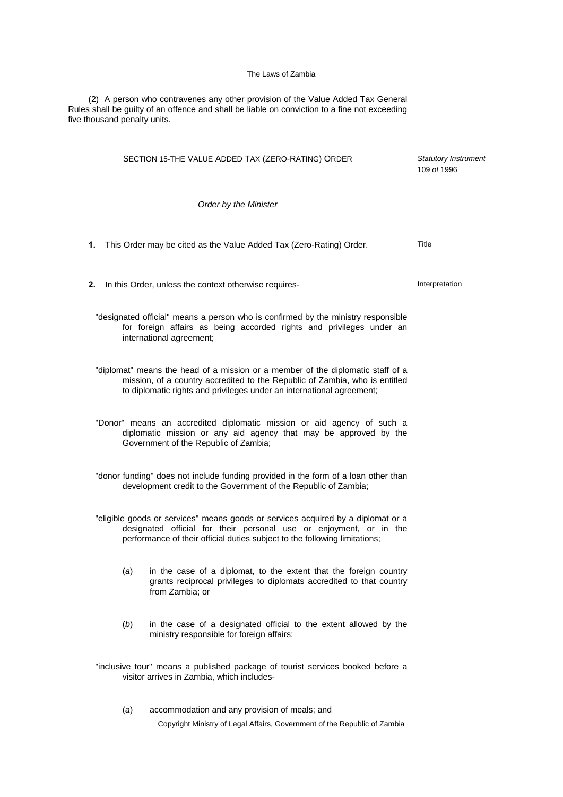(2) A person who contravenes any other provision of the Value Added Tax General Rules shall be guilty of an offence and shall be liable on conviction to a fine not exceeding five thousand penalty units.

| SECTION 15-THE VALUE ADDED TAX (ZERO-RATING) ORDER                                                                                                                                                                                      | Statutory Instrument<br>109 of 1996 |
|-----------------------------------------------------------------------------------------------------------------------------------------------------------------------------------------------------------------------------------------|-------------------------------------|
| Order by the Minister                                                                                                                                                                                                                   |                                     |
| 1. This Order may be cited as the Value Added Tax (Zero-Rating) Order.                                                                                                                                                                  | Title                               |
| 2. In this Order, unless the context otherwise requires-                                                                                                                                                                                | Interpretation                      |
| "designated official" means a person who is confirmed by the ministry responsible<br>for foreign affairs as being accorded rights and privileges under an<br>international agreement;                                                   |                                     |
| "diplomat" means the head of a mission or a member of the diplomatic staff of a<br>mission, of a country accredited to the Republic of Zambia, who is entitled<br>to diplomatic rights and privileges under an international agreement; |                                     |
| "Donor" means an accredited diplomatic mission or aid agency of such a<br>diplomatic mission or any aid agency that may be approved by the<br>Government of the Republic of Zambia;                                                     |                                     |
| "donor funding" does not include funding provided in the form of a loan other than<br>development credit to the Government of the Republic of Zambia;                                                                                   |                                     |
| "eligible goods or services" means goods or services acquired by a diplomat or a<br>designated official for their personal use or enjoyment, or in the<br>performance of their official duties subject to the following limitations;    |                                     |
| in the case of a diplomat, to the extent that the foreign country<br>(a)<br>grants reciprocal privileges to diplomats accredited to that country<br>from Zambia; or                                                                     |                                     |
| (b)<br>in the case of a designated official to the extent allowed by the<br>ministry responsible for foreign affairs;                                                                                                                   |                                     |
| "inclusive tour" means a published package of tourist services booked before a<br>visitor arrives in Zambia, which includes-                                                                                                            |                                     |
| accommodation and any provision of meals; and<br>(a)                                                                                                                                                                                    |                                     |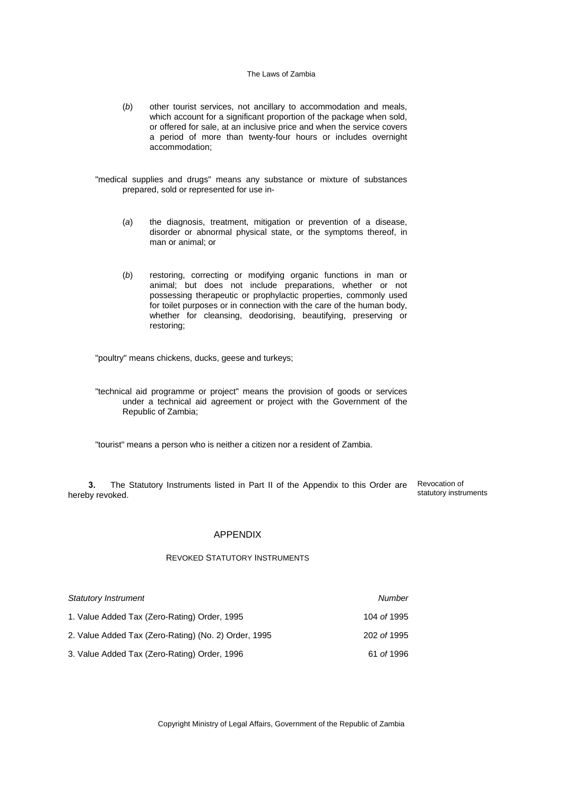- (*b*) other tourist services, not ancillary to accommodation and meals, which account for a significant proportion of the package when sold, or offered for sale, at an inclusive price and when the service covers a period of more than twenty-four hours or includes overnight accommodation;
- "medical supplies and drugs" means any substance or mixture of substances prepared, sold or represented for use in-
	- (*a*) the diagnosis, treatment, mitigation or prevention of a disease, disorder or abnormal physical state, or the symptoms thereof, in man or animal; or
	- (*b*) restoring, correcting or modifying organic functions in man or animal; but does not include preparations, whether or not possessing therapeutic or prophylactic properties, commonly used for toilet purposes or in connection with the care of the human body, whether for cleansing, deodorising, beautifying, preserving or restoring;

"poultry" means chickens, ducks, geese and turkeys;

"technical aid programme or project" means the provision of goods or services under a technical aid agreement or project with the Government of the Republic of Zambia;

"tourist" means a person who is neither a citizen nor a resident of Zambia.

**3.** The Statutory Instruments listed in Part II of the Appendix to this Order are hereby revoked.

Revocation of statutory instruments

## APPENDIX

## REVOKED STATUTORY INSTRUMENTS

| <b>Statutory Instrument</b>                          | Number      |
|------------------------------------------------------|-------------|
| 1. Value Added Tax (Zero-Rating) Order, 1995         | 104 of 1995 |
| 2. Value Added Tax (Zero-Rating) (No. 2) Order, 1995 | 202 of 1995 |
| 3. Value Added Tax (Zero-Rating) Order, 1996         | 61 of 1996  |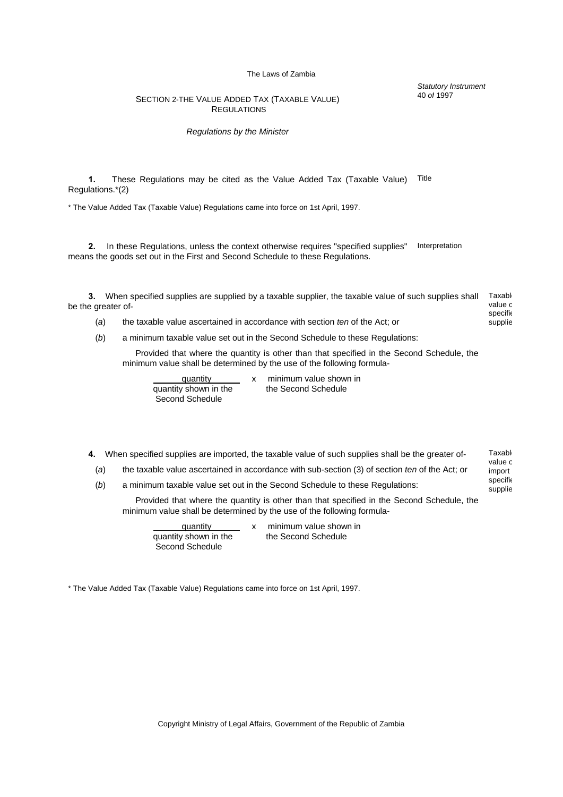*Statutory Instrument* 40 *of* 1997

> specifie supplie

## SECTION 2-THE VALUE ADDED TAX (TAXABLE VALUE) **REGULATIONS**

### *Regulations by the Minister*

**1.** These Regulations may be cited as the Value Added Tax (Taxable Value) Regulations.\*(2) Title

\* The Value Added Tax (Taxable Value) Regulations came into force on 1st April, 1997.

**2.** In these Regulations, unless the context otherwise requires "specified supplies" means the goods set out in the First and Second Schedule to these Regulations. Interpretation

**3.** When specified supplies are supplied by a taxable supplier, the taxable value of such supplies shall be the greater of- Taxabl value o specifie

- (*a*) the taxable value ascertained in accordance with section *ten* of the Act; or supplie
- (*b*) a minimum taxable value set out in the Second Schedule to these Regulations:

 Provided that where the quantity is other than that specified in the Second Schedule, the minimum value shall be determined by the use of the following formula-

quantity x minimum value shown in<br>v shown in the second Schedule quantity shown in the Second Schedule

- **4.** When specified supplies are imported, the taxable value of such supplies shall be the greater of- Taxable value c
	- (*a*) the taxable value ascertained in accordance with sub-section (3) of section *ten* of the Act; or import
	- (*b*) a minimum taxable value set out in the Second Schedule to these Regulations:

 Provided that where the quantity is other than that specified in the Second Schedule, the minimum value shall be determined by the use of the following formula-

quantity shown in the the Second Schedule Second Schedule

quantity x minimum value shown in

\* The Value Added Tax (Taxable Value) Regulations came into force on 1st April, 1997.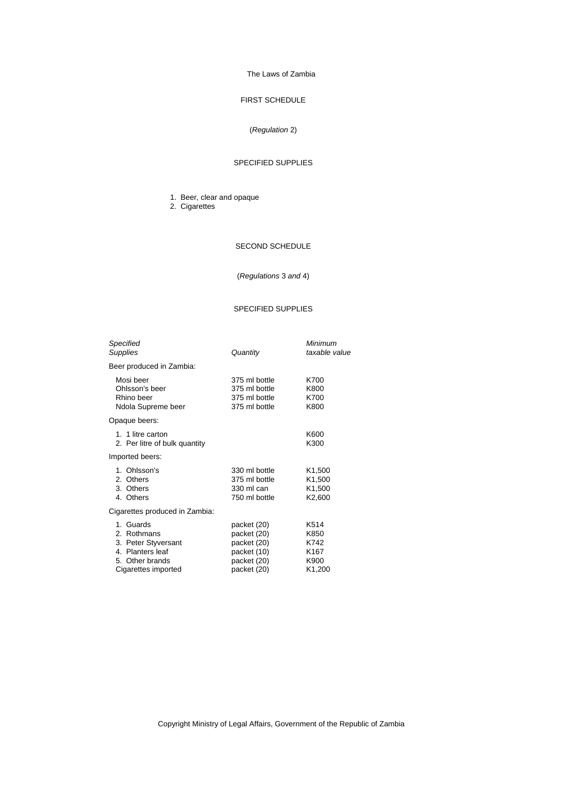# FIRST SCHEDULE

## (*Regulation* 2)

## SPECIFIED SUPPLIES

- 1. Beer, clear and opaque
- 2. Cigarettes

## SECOND SCHEDULE

(*Regulations* 3 *and* 4)

### SPECIFIED SUPPLIES

| Specified<br>Supplies                                                                                         | Quantity                                                                               | Minimum<br>taxable value                                                                 |
|---------------------------------------------------------------------------------------------------------------|----------------------------------------------------------------------------------------|------------------------------------------------------------------------------------------|
| Beer produced in Zambia:                                                                                      |                                                                                        |                                                                                          |
| Mosi beer<br>Ohlsson's beer<br>Rhino beer<br>Ndola Supreme beer                                               | 375 ml bottle<br>375 ml bottle<br>375 ml bottle<br>375 ml bottle                       | K700<br>K800<br>K700<br>K800                                                             |
| Opaque beers:                                                                                                 |                                                                                        |                                                                                          |
| 1. 1 litre carton<br>2. Per litre of bulk quantity                                                            |                                                                                        | K600<br>K300                                                                             |
| Imported beers:                                                                                               |                                                                                        |                                                                                          |
| 1. Ohlsson's<br>2. Others<br>3. Others<br>4. Others                                                           | 330 ml bottle<br>375 ml bottle<br>330 ml can<br>750 ml bottle                          | K <sub>1</sub> ,500<br>K <sub>1</sub> ,500<br>K <sub>1</sub> ,500<br>K <sub>2</sub> ,600 |
| Cigarettes produced in Zambia:                                                                                |                                                                                        |                                                                                          |
| 1. Guards<br>2. Rothmans<br>3. Peter Styversant<br>4. Planters leaf<br>5. Other brands<br>Cigarettes imported | packet (20)<br>packet (20)<br>packet (20)<br>packet (10)<br>packet (20)<br>packet (20) | K514<br>K850<br>K742<br>K167<br>K900<br>K1,200                                           |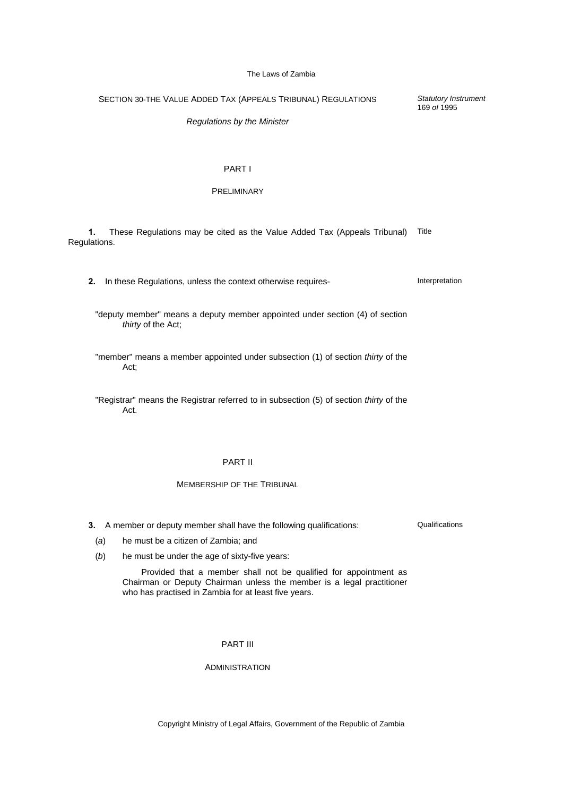SECTION 30-THE VALUE ADDED TAX (APPEALS TRIBUNAL) REGULATIONS

*Regulations by the Minister* 

## PART I

## PRELIMINARY

**1.** These Regulations may be cited as the Value Added Tax (Appeals Tribunal) Regulations.

**2.** In these Regulations, unless the context otherwise requires- **Interpretation** 

- "deputy member" means a deputy member appointed under section (4) of section *thirty* of the Act;
- "member" means a member appointed under subsection (1) of section *thirty* of the Act;
- "Registrar" means the Registrar referred to in subsection (5) of section *thirty* of the Act.

## PART II

# MEMBERSHIP OF THE TRIBUNAL

- **3.** A member or deputy member shall have the following qualifications:
	- (*a*) he must be a citizen of Zambia; and
	- (*b*) he must be under the age of sixty-five years:

 Provided that a member shall not be qualified for appointment as Chairman or Deputy Chairman unless the member is a legal practitioner who has practised in Zambia for at least five years.

PART III

## ADMINISTRATION

Copyright Ministry of Legal Affairs, Government of the Republic of Zambia

Qualifications

*Statutory Instrument* 169 *of* 1995

Title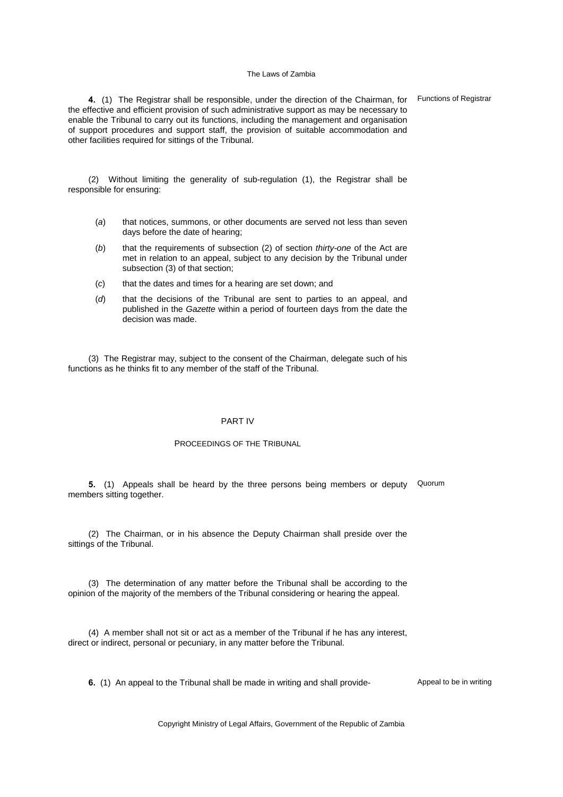**4.** (1) The Registrar shall be responsible, under the direction of the Chairman, for the effective and efficient provision of such administrative support as may be necessary to enable the Tribunal to carry out its functions, including the management and organisation of support procedures and support staff, the provision of suitable accommodation and other facilities required for sittings of the Tribunal.

(2) Without limiting the generality of sub-regulation (1), the Registrar shall be responsible for ensuring:

- (*a*) that notices, summons, or other documents are served not less than seven days before the date of hearing;
- (*b*) that the requirements of subsection (2) of section *thirty-one* of the Act are met in relation to an appeal, subject to any decision by the Tribunal under subsection (3) of that section;
- (*c*) that the dates and times for a hearing are set down; and
- (*d*) that the decisions of the Tribunal are sent to parties to an appeal, and published in the *Gazette* within a period of fourteen days from the date the decision was made.

(3) The Registrar may, subject to the consent of the Chairman, delegate such of his functions as he thinks fit to any member of the staff of the Tribunal.

## PART IV

### PROCEEDINGS OF THE TRIBUNAL

**5.** (1) Appeals shall be heard by the three persons being members or deputy Quorum members sitting together.

(2) The Chairman, or in his absence the Deputy Chairman shall preside over the sittings of the Tribunal.

(3) The determination of any matter before the Tribunal shall be according to the opinion of the majority of the members of the Tribunal considering or hearing the appeal.

(4) A member shall not sit or act as a member of the Tribunal if he has any interest, direct or indirect, personal or pecuniary, in any matter before the Tribunal.

**6.** (1) An appeal to the Tribunal shall be made in writing and shall provide-<br> **6.** (1) An appeal to be in writing

Copyright Ministry of Legal Affairs, Government of the Republic of Zambia

Functions of Registrar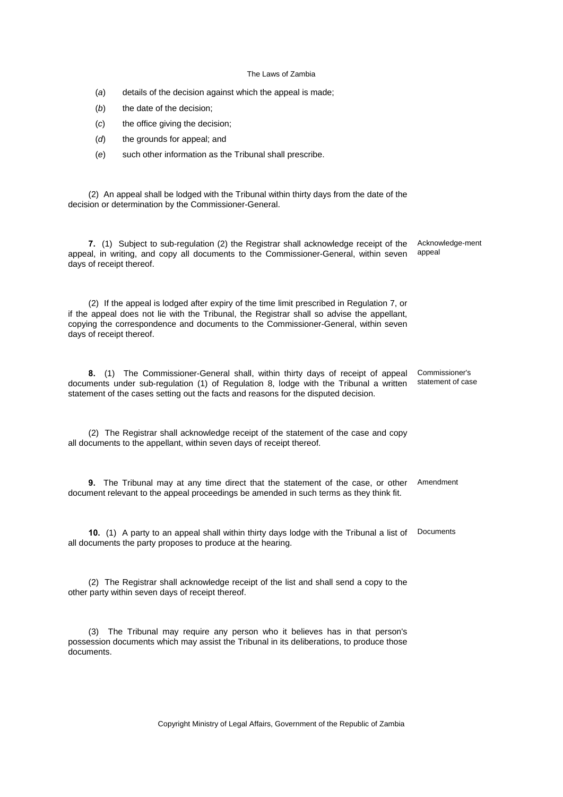- (*a*) details of the decision against which the appeal is made;
- (b) the date of the decision;
- (*c*) the office giving the decision;
- (*d*) the grounds for appeal; and
- (*e*) such other information as the Tribunal shall prescribe.

(2) An appeal shall be lodged with the Tribunal within thirty days from the date of the decision or determination by the Commissioner-General.

**7.** (1) Subject to sub-regulation (2) the Registrar shall acknowledge receipt of the appeal, in writing, and copy all documents to the Commissioner-General, within seven days of receipt thereof. Acknowledge-ment appeal

(2) If the appeal is lodged after expiry of the time limit prescribed in Regulation 7, or if the appeal does not lie with the Tribunal, the Registrar shall so advise the appellant, copying the correspondence and documents to the Commissioner-General, within seven days of receipt thereof.

**8.** (1) The Commissioner-General shall, within thirty days of receipt of appeal documents under sub-regulation (1) of Regulation 8, lodge with the Tribunal a written statement of the cases setting out the facts and reasons for the disputed decision. Commissioner's statement of case

(2) The Registrar shall acknowledge receipt of the statement of the case and copy all documents to the appellant, within seven days of receipt thereof.

**9.** The Tribunal may at any time direct that the statement of the case, or other document relevant to the appeal proceedings be amended in such terms as they think fit. Amendment

**10.** (1) A party to an appeal shall within thirty days lodge with the Tribunal a list of Documents all documents the party proposes to produce at the hearing.

(2) The Registrar shall acknowledge receipt of the list and shall send a copy to the other party within seven days of receipt thereof.

(3) The Tribunal may require any person who it believes has in that person's possession documents which may assist the Tribunal in its deliberations, to produce those documents.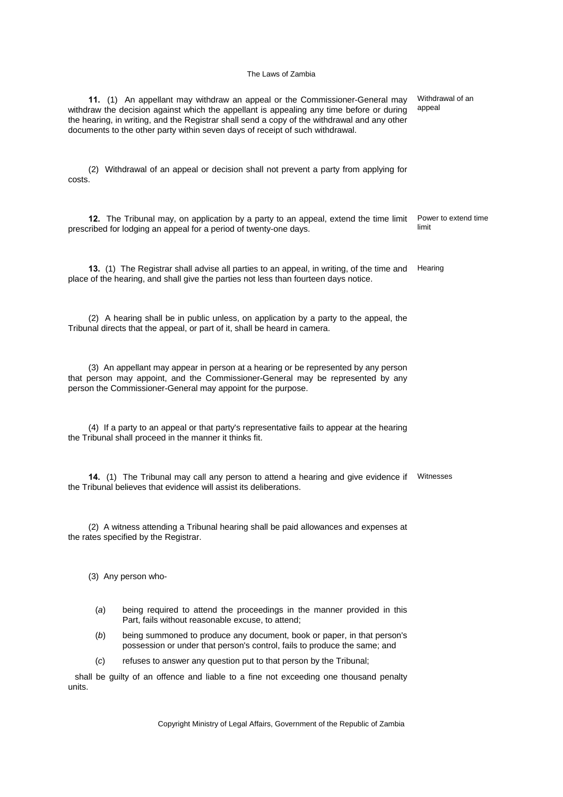**11.** (1) An appellant may withdraw an appeal or the Commissioner-General may withdraw the decision against which the appellant is appealing any time before or during the hearing, in writing, and the Registrar shall send a copy of the withdrawal and any other documents to the other party within seven days of receipt of such withdrawal. Withdrawal of an appeal (2) Withdrawal of an appeal or decision shall not prevent a party from applying for costs. **12.** The Tribunal may, on application by a party to an appeal, extend the time limit prescribed for lodging an appeal for a period of twenty-one days. Power to extend time limit **13.** (1) The Registrar shall advise all parties to an appeal, in writing, of the time and place of the hearing, and shall give the parties not less than fourteen days notice. **Hearing** (2) A hearing shall be in public unless, on application by a party to the appeal, the Tribunal directs that the appeal, or part of it, shall be heard in camera. (3) An appellant may appear in person at a hearing or be represented by any person that person may appoint, and the Commissioner-General may be represented by any person the Commissioner-General may appoint for the purpose. (4) If a party to an appeal or that party's representative fails to appear at the hearing the Tribunal shall proceed in the manner it thinks fit. **14.** (1) The Tribunal may call any person to attend a hearing and give evidence if Witnesses the Tribunal believes that evidence will assist its deliberations. (2) A witness attending a Tribunal hearing shall be paid allowances and expenses at the rates specified by the Registrar. (3) Any person who- (*a*) being required to attend the proceedings in the manner provided in this Part, fails without reasonable excuse, to attend; (*b*) being summoned to produce any document, book or paper, in that person's possession or under that person's control, fails to produce the same; and (*c*) refuses to answer any question put to that person by the Tribunal; shall be guilty of an offence and liable to a fine not exceeding one thousand penalty units.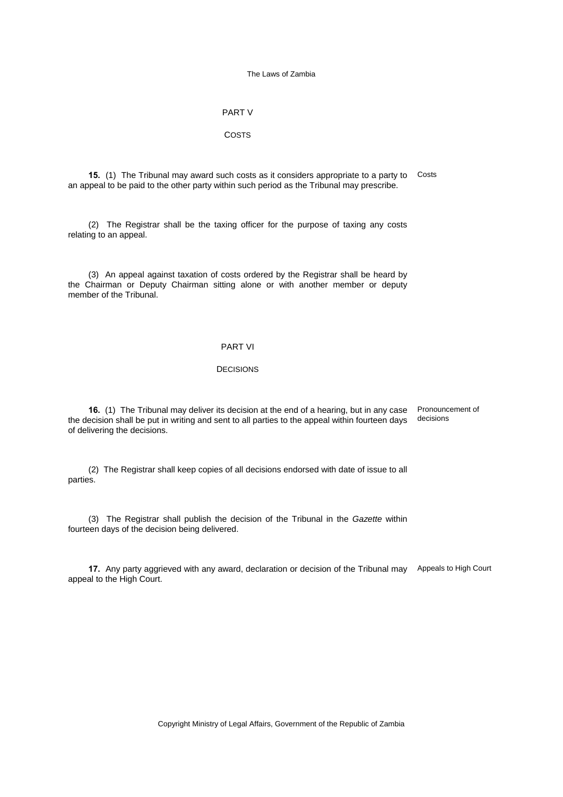## PART V

### COSTS

**15.** (1) The Tribunal may award such costs as it considers appropriate to a party to Costs an appeal to be paid to the other party within such period as the Tribunal may prescribe.

(2) The Registrar shall be the taxing officer for the purpose of taxing any costs relating to an appeal.

(3) An appeal against taxation of costs ordered by the Registrar shall be heard by the Chairman or Deputy Chairman sitting alone or with another member or deputy member of the Tribunal.

## PART VI

## **DECISIONS**

**16.** (1) The Tribunal may deliver its decision at the end of a hearing, but in any case the decision shall be put in writing and sent to all parties to the appeal within fourteen days of delivering the decisions. Pronouncement of decisions

(2) The Registrar shall keep copies of all decisions endorsed with date of issue to all parties.

(3) The Registrar shall publish the decision of the Tribunal in the *Gazette* within fourteen days of the decision being delivered.

**17.** Any party aggrieved with any award, declaration or decision of the Tribunal may Appeals to High Court appeal to the High Court.